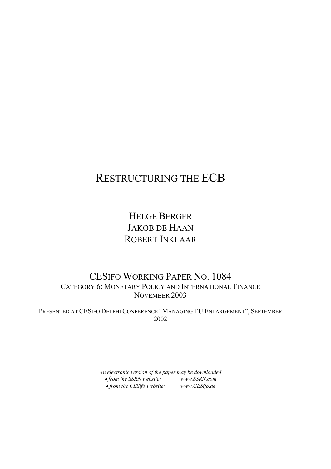# RESTRUCTURING THE ECB

HELGE BERGER JAKOB DE HAAN ROBERT INKLAAR

### CESIFO WORKING PAPER NO. 1084 CATEGORY 6: MONETARY POLICY AND INTERNATIONAL FINANCE NOVEMBER 2003

PRESENTED AT CESIFO DELPHI CONFERENCE "MANAGING EU ENLARGEMENT", SEPTEMBER 2002

> *An electronic version of the paper may be downloaded*  • *from the SSRN website: www.SSRN.com*  • *from the CESifo website: www.CESifo.de*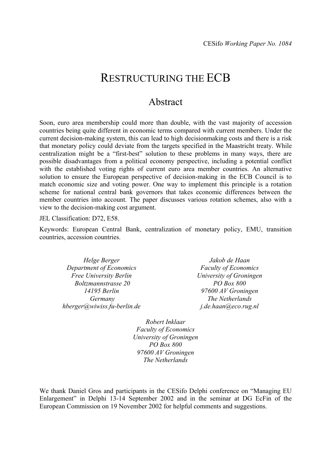## RESTRUCTURING THE ECB

### Abstract

Soon, euro area membership could more than double, with the vast majority of accession countries being quite different in economic terms compared with current members. Under the current decision-making system, this can lead to high decisionmaking costs and there is a risk that monetary policy could deviate from the targets specified in the Maastricht treaty. While centralization might be a "first-best" solution to these problems in many ways, there are possible disadvantages from a political economy perspective, including a potential conflict with the established voting rights of current euro area member countries. An alternative solution to ensure the European perspective of decision-making in the ECB Council is to match economic size and voting power. One way to implement this principle is a rotation scheme for national central bank governors that takes economic differences between the member countries into account. The paper discusses various rotation schemes, also with a view to the decision-making cost argument.

JEL Classification: D72, E58.

Keywords: European Central Bank, centralization of monetary policy, EMU, transition countries, accession countries.

*Helge Berger Department of Economics Free University Berlin Boltzmannstrasse 20 14195 Berlin Germany hberger@wiwiss.fu-berlin.de* 

*Jakob de Haan Faculty of Economics University of Groningen PO Box 800 97600 AV Groningen The Netherlands j.de.haan@eco.rug.nl* 

*Robert Inklaar Faculty of Economics University of Groningen PO Box 800 97600 AV Groningen The Netherlands* 

We thank Daniel Gros and participants in the CESifo Delphi conference on "Managing EU Enlargement" in Delphi 13-14 September 2002 and in the seminar at DG EcFin of the European Commission on 19 November 2002 for helpful comments and suggestions.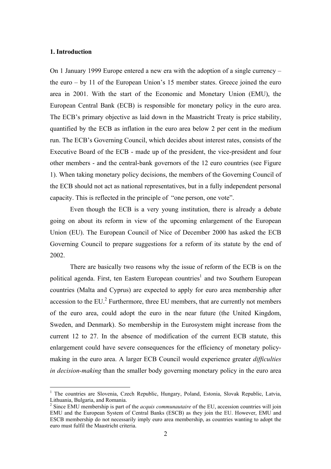#### **1. Introduction**

 $\overline{a}$ 

On 1 January 1999 Europe entered a new era with the adoption of a single currency – the euro – by 11 of the European Union's 15 member states. Greece joined the euro area in 2001. With the start of the Economic and Monetary Union (EMU), the European Central Bank (ECB) is responsible for monetary policy in the euro area. The ECB's primary objective as laid down in the Maastricht Treaty is price stability, quantified by the ECB as inflation in the euro area below 2 per cent in the medium run. The ECB's Governing Council, which decides about interest rates, consists of the Executive Board of the ECB - made up of the president, the vice-president and four other members - and the central-bank governors of the 12 euro countries (see Figure 1). When taking monetary policy decisions, the members of the Governing Council of the ECB should not act as national representatives, but in a fully independent personal capacity. This is reflected in the principle of "one person, one vote".

Even though the ECB is a very young institution, there is already a debate going on about its reform in view of the upcoming enlargement of the European Union (EU). The European Council of Nice of December 2000 has asked the ECB Governing Council to prepare suggestions for a reform of its statute by the end of 2002.

There are basically two reasons why the issue of reform of the ECB is on the political agenda. First, ten Eastern European countries<sup>1</sup> and two Southern European countries (Malta and Cyprus) are expected to apply for euro area membership after accession to the  $EU^2$  Furthermore, three  $EU$  members, that are currently not members of the euro area, could adopt the euro in the near future (the United Kingdom, Sweden, and Denmark). So membership in the Eurosystem might increase from the current 12 to 27. In the absence of modification of the current ECB statute, this enlargement could have severe consequences for the efficiency of monetary policymaking in the euro area. A larger ECB Council would experience greater *difficulties in decision-making* than the smaller body governing monetary policy in the euro area

<sup>&</sup>lt;sup>1</sup> The countries are Slovenia, Czech Republic, Hungary, Poland, Estonia, Slovak Republic, Latvia, Lithuania, Bulgaria, and Romania.

<sup>&</sup>lt;sup>2</sup> Since EMU membership is part of the *acquis communautaire* of the EU, accession countries will join EMU and the European System of Central Banks (ESCB) as they join the EU. However, EMU and ESCB membership do not necessarily imply euro area membership, as countries wanting to adopt the euro must fulfil the Maastricht criteria.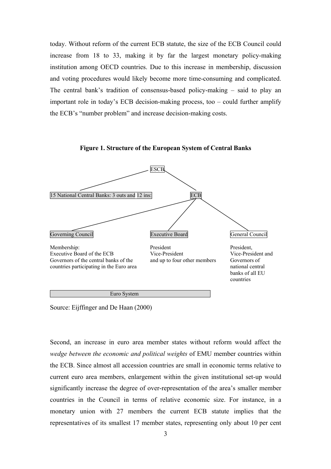today. Without reform of the current ECB statute, the size of the ECB Council could increase from 18 to 33, making it by far the largest monetary policy-making institution among OECD countries. Due to this increase in membership, discussion and voting procedures would likely become more time-consuming and complicated. The central bank's tradition of consensus-based policy-making – said to play an important role in today's ECB decision-making process, too – could further amplify the ECB's "number problem" and increase decision-making costs.

**Figure 1. Structure of the European System of Central Banks** 



Source: Eijffinger and De Haan (2000)

Second, an increase in euro area member states without reform would affect the *wedge between the economic and political weights* of EMU member countries within the ECB. Since almost all accession countries are small in economic terms relative to current euro area members, enlargement within the given institutional set-up would significantly increase the degree of over-representation of the area's smaller member countries in the Council in terms of relative economic size. For instance, in a monetary union with 27 members the current ECB statute implies that the representatives of its smallest 17 member states, representing only about 10 per cent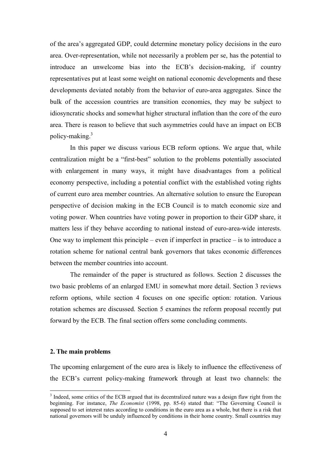of the area's aggregated GDP, could determine monetary policy decisions in the euro area. Over-representation, while not necessarily a problem per se, has the potential to introduce an unwelcome bias into the ECB's decision-making, if country representatives put at least some weight on national economic developments and these developments deviated notably from the behavior of euro-area aggregates. Since the bulk of the accession countries are transition economies, they may be subject to idiosyncratic shocks and somewhat higher structural inflation than the core of the euro area. There is reason to believe that such asymmetries could have an impact on ECB policy-making.<sup>3</sup>

In this paper we discuss various ECB reform options. We argue that, while centralization might be a "first-best" solution to the problems potentially associated with enlargement in many ways, it might have disadvantages from a political economy perspective, including a potential conflict with the established voting rights of current euro area member countries. An alternative solution to ensure the European perspective of decision making in the ECB Council is to match economic size and voting power. When countries have voting power in proportion to their GDP share, it matters less if they behave according to national instead of euro-area-wide interests. One way to implement this principle – even if imperfect in practice – is to introduce a rotation scheme for national central bank governors that takes economic differences between the member countries into account.

The remainder of the paper is structured as follows. Section 2 discusses the two basic problems of an enlarged EMU in somewhat more detail. Section 3 reviews reform options, while section 4 focuses on one specific option: rotation. Various rotation schemes are discussed. Section 5 examines the reform proposal recently put forward by the ECB. The final section offers some concluding comments.

#### **2. The main problems**

 $\overline{a}$ 

The upcoming enlargement of the euro area is likely to influence the effectiveness of the ECB's current policy-making framework through at least two channels: the

<sup>&</sup>lt;sup>3</sup> Indeed, some critics of the ECB argued that its decentralized nature was a design flaw right from the beginning. For instance, *The Economist* (1998, pp. 85-6) stated that: "The Governing Council is supposed to set interest rates according to conditions in the euro area as a whole, but there is a risk that national governors will be unduly influenced by conditions in their home country. Small countries may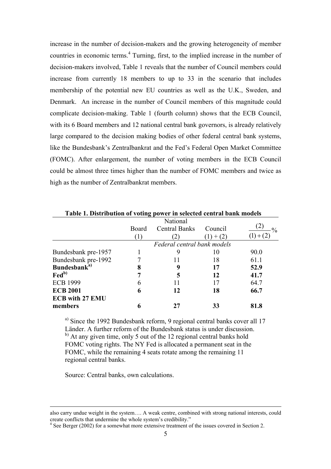increase in the number of decision-makers and the growing heterogeneity of member countries in economic terms.<sup>4</sup> Turning, first, to the implied increase in the number of decision-makers involved, Table 1 reveals that the number of Council members could increase from currently 18 members to up to 33 in the scenario that includes membership of the potential new EU countries as well as the U.K., Sweden, and Denmark. An increase in the number of Council members of this magnitude could complicate decision-making. Table 1 (fourth column) shows that the ECB Council, with its 6 Board members and 12 national central bank governors, is already relatively large compared to the decision making bodies of other federal central bank systems, like the Bundesbank's Zentralbankrat and the Fed's Federal Open Market Committee (FOMC). After enlargement, the number of voting members in the ECB Council could be almost three times higher than the number of FOMC members and twice as high as the number of Zentralbankrat members.

| Table 1. Distribution of voting power in selected central bank models |                      |          |                             |  |  |  |
|-----------------------------------------------------------------------|----------------------|----------|-----------------------------|--|--|--|
|                                                                       |                      |          |                             |  |  |  |
| Board                                                                 | <b>Central Banks</b> | Council  | $\frac{0}{0}$               |  |  |  |
| $\left(1\right)$                                                      |                      | $+ (2)$  |                             |  |  |  |
|                                                                       |                      |          |                             |  |  |  |
|                                                                       | 9                    | 10       | 90.0                        |  |  |  |
|                                                                       | Ħ                    | 18       | 61.1                        |  |  |  |
| 8                                                                     |                      | 17       | 52.9                        |  |  |  |
|                                                                       | 5                    | 12       | 41.7                        |  |  |  |
| b                                                                     |                      | 17       | 64.7                        |  |  |  |
| h                                                                     | 12                   | 18       | 66.7                        |  |  |  |
|                                                                       |                      |          |                             |  |  |  |
|                                                                       |                      | 33       | 81.8                        |  |  |  |
|                                                                       |                      | National | Federal central bank models |  |  |  |

**Table 1. Distribution of voting power in selected central bank models** 

a) Since the 1992 Bundesbank reform, 9 regional central banks cover all 17 Länder. A further reform of the Bundesbank status is under discussion.  $b)$  At any given time, only 5 out of the 12 regional central banks hold FOMC voting rights. The NY Fed is allocated a permanent seat in the FOMC, while the remaining 4 seats rotate among the remaining 11 regional central banks.

Source: Central banks, own calculations.

also carry undue weight in the system…. A weak centre, combined with strong national interests, could create conflicts that undermine the whole system's credibility."

<sup>&</sup>lt;sup>4</sup> See Berger (2002) for a somewhat more extensive treatment of the issues covered in Section 2.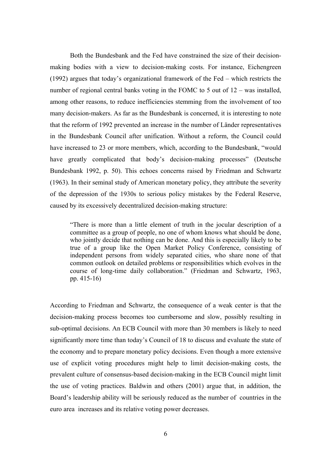Both the Bundesbank and the Fed have constrained the size of their decisionmaking bodies with a view to decision-making costs. For instance, Eichengreen (1992) argues that today's organizational framework of the Fed – which restricts the number of regional central banks voting in the FOMC to 5 out of 12 – was installed, among other reasons, to reduce inefficiencies stemming from the involvement of too many decision-makers. As far as the Bundesbank is concerned, it is interesting to note that the reform of 1992 prevented an increase in the number of Länder representatives in the Bundesbank Council after unification. Without a reform, the Council could have increased to 23 or more members, which, according to the Bundesbank, "would have greatly complicated that body's decision-making processes" (Deutsche Bundesbank 1992, p. 50). This echoes concerns raised by Friedman and Schwartz (1963). In their seminal study of American monetary policy, they attribute the severity of the depression of the 1930s to serious policy mistakes by the Federal Reserve, caused by its excessively decentralized decision-making structure:

"There is more than a little element of truth in the jocular description of a committee as a group of people, no one of whom knows what should be done, who jointly decide that nothing can be done. And this is especially likely to be true of a group like the Open Market Policy Conference, consisting of independent persons from widely separated cities, who share none of that common outlook on detailed problems or responsibilities which evolves in the course of long-time daily collaboration." (Friedman and Schwartz, 1963, pp. 415-16)

According to Friedman and Schwartz, the consequence of a weak center is that the decision-making process becomes too cumbersome and slow, possibly resulting in sub-optimal decisions. An ECB Council with more than 30 members is likely to need significantly more time than today's Council of 18 to discuss and evaluate the state of the economy and to prepare monetary policy decisions. Even though a more extensive use of explicit voting procedures might help to limit decision-making costs, the prevalent culture of consensus-based decision-making in the ECB Council might limit the use of voting practices. Baldwin and others (2001) argue that, in addition, the Board's leadership ability will be seriously reduced as the number of countries in the euro area increases and its relative voting power decreases.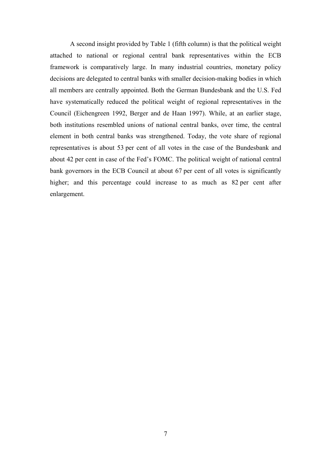A second insight provided by Table 1 (fifth column) is that the political weight attached to national or regional central bank representatives within the ECB framework is comparatively large. In many industrial countries, monetary policy decisions are delegated to central banks with smaller decision-making bodies in which all members are centrally appointed. Both the German Bundesbank and the U.S. Fed have systematically reduced the political weight of regional representatives in the Council (Eichengreen 1992, Berger and de Haan 1997). While, at an earlier stage, both institutions resembled unions of national central banks, over time, the central element in both central banks was strengthened. Today, the vote share of regional representatives is about 53 per cent of all votes in the case of the Bundesbank and about 42 per cent in case of the Fed's FOMC. The political weight of national central bank governors in the ECB Council at about 67 per cent of all votes is significantly higher; and this percentage could increase to as much as 82 per cent after enlargement.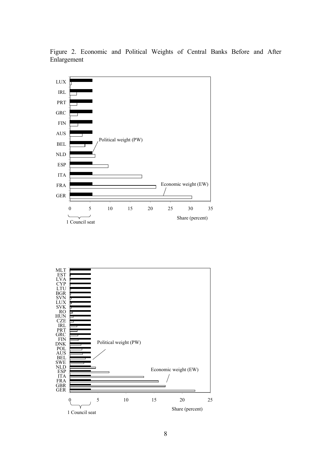

Figure 2. Economic and Political Weights of Central Banks Before and After Enlargement

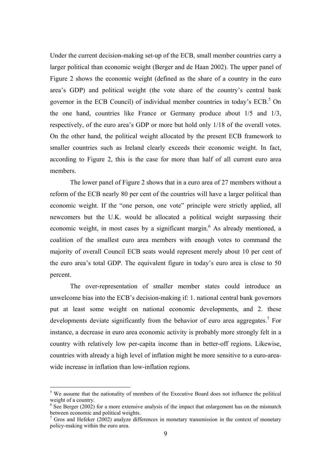Under the current decision-making set-up of the ECB, small member countries carry a larger political than economic weight (Berger and de Haan 2002). The upper panel of Figure 2 shows the economic weight (defined as the share of a country in the euro area's GDP) and political weight (the vote share of the country's central bank governor in the ECB Council) of individual member countries in today's  $ECB$ <sup>5</sup>. On the one hand, countries like France or Germany produce about 1/5 and 1/3, respectively, of the euro area's GDP or more but hold only 1/18 of the overall votes. On the other hand, the political weight allocated by the present ECB framework to smaller countries such as Ireland clearly exceeds their economic weight. In fact, according to Figure 2, this is the case for more than half of all current euro area members.

The lower panel of Figure 2 shows that in a euro area of 27 members without a reform of the ECB nearly 80 per cent of the countries will have a larger political than economic weight. If the "one person, one vote" principle were strictly applied, all newcomers but the U.K. would be allocated a political weight surpassing their economic weight, in most cases by a significant margin.<sup>6</sup> As already mentioned, a coalition of the smallest euro area members with enough votes to command the majority of overall Council ECB seats would represent merely about 10 per cent of the euro area's total GDP. The equivalent figure in today's euro area is close to 50 percent.

The over-representation of smaller member states could introduce an unwelcome bias into the ECB's decision-making if: 1. national central bank governors put at least some weight on national economic developments, and 2. these developments deviate significantly from the behavior of euro area aggregates.<sup>7</sup> For instance, a decrease in euro area economic activity is probably more strongly felt in a country with relatively low per-capita income than in better-off regions. Likewise, countries with already a high level of inflation might be more sensitive to a euro-areawide increase in inflation than low-inflation regions.

<sup>&</sup>lt;sup>5</sup> We assume that the nationality of members of the Executive Board does not influence the political weight of a country.

 $6$  See Berger (2002) for a more extensive analysis of the impact that enlargement has on the mismatch between economic and political weights.

 $<sup>7</sup>$  Gros and Hefeker (2002) analyze differences in monetary transmission in the context of monetary</sup> policy-making within the euro area.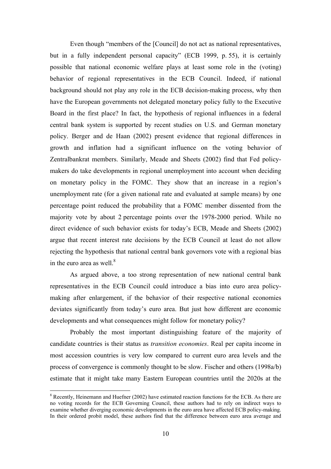Even though "members of the [Council] do not act as national representatives, but in a fully independent personal capacity" (ECB 1999, p. 55), it is certainly possible that national economic welfare plays at least some role in the (voting) behavior of regional representatives in the ECB Council. Indeed, if national background should not play any role in the ECB decision-making process, why then have the European governments not delegated monetary policy fully to the Executive Board in the first place? In fact, the hypothesis of regional influences in a federal central bank system is supported by recent studies on U.S. and German monetary policy. Berger and de Haan (2002) present evidence that regional differences in growth and inflation had a significant influence on the voting behavior of Zentralbankrat members. Similarly, Meade and Sheets (2002) find that Fed policymakers do take developments in regional unemployment into account when deciding on monetary policy in the FOMC. They show that an increase in a region's unemployment rate (for a given national rate and evaluated at sample means) by one percentage point reduced the probability that a FOMC member dissented from the majority vote by about 2 percentage points over the 1978-2000 period. While no direct evidence of such behavior exists for today's ECB, Meade and Sheets (2002) argue that recent interest rate decisions by the ECB Council at least do not allow rejecting the hypothesis that national central bank governors vote with a regional bias in the euro area as well. $8$ 

As argued above, a too strong representation of new national central bank representatives in the ECB Council could introduce a bias into euro area policymaking after enlargement, if the behavior of their respective national economies deviates significantly from today's euro area. But just how different are economic developments and what consequences might follow for monetary policy?

Probably the most important distinguishing feature of the majority of candidate countries is their status as *transition economies*. Real per capita income in most accession countries is very low compared to current euro area levels and the process of convergence is commonly thought to be slow. Fischer and others (1998a/b) estimate that it might take many Eastern European countries until the 2020s at the

 $8$  Recently, Heinemann and Huefner (2002) have estimated reaction functions for the ECB. As there are no voting records for the ECB Governing Council, these authors had to rely on indirect ways to examine whether diverging economic developments in the euro area have affected ECB policy-making. In their ordered probit model, these authors find that the difference between euro area average and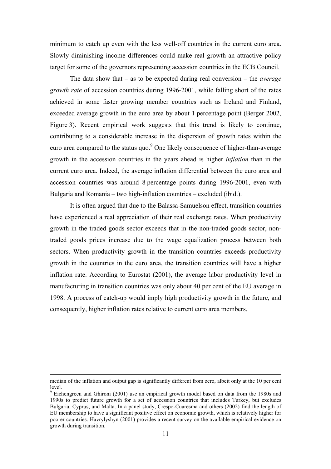minimum to catch up even with the less well-off countries in the current euro area. Slowly diminishing income differences could make real growth an attractive policy target for some of the governors representing accession countries in the ECB Council.

The data show that – as to be expected during real conversion – the *average growth rate* of accession countries during 1996-2001, while falling short of the rates achieved in some faster growing member countries such as Ireland and Finland, exceeded average growth in the euro area by about 1 percentage point (Berger 2002, Figure 3). Recent empirical work suggests that this trend is likely to continue, contributing to a considerable increase in the dispersion of growth rates within the euro area compared to the status quo.<sup>9</sup> One likely consequence of higher-than-average growth in the accession countries in the years ahead is higher *inflation* than in the current euro area. Indeed, the average inflation differential between the euro area and accession countries was around 8 percentage points during 1996-2001, even with Bulgaria and Romania – two high-inflation countries – excluded (ibid.).

It is often argued that due to the Balassa-Samuelson effect, transition countries have experienced a real appreciation of their real exchange rates. When productivity growth in the traded goods sector exceeds that in the non-traded goods sector, nontraded goods prices increase due to the wage equalization process between both sectors. When productivity growth in the transition countries exceeds productivity growth in the countries in the euro area, the transition countries will have a higher inflation rate. According to Eurostat (2001), the average labor productivity level in manufacturing in transition countries was only about 40 per cent of the EU average in 1998. A process of catch-up would imply high productivity growth in the future, and consequently, higher inflation rates relative to current euro area members.

median of the inflation and output gap is significantly different from zero, albeit only at the 10 per cent level.

<sup>&</sup>lt;sup>9</sup> Eichengreen and Ghironi (2001) use an empirical growth model based on data from the 1980s and 1990s to predict future growth for a set of accession countries that includes Turkey, but excludes Bulgaria, Cyprus, and Malta. In a panel study, Crespo-Cuaresma and others (2002) find the length of EU membership to have a significant positive effect on economic growth, which is relatively higher for poorer countries. Havrylyshyn (2001) provides a recent survey on the available empirical evidence on growth during transition.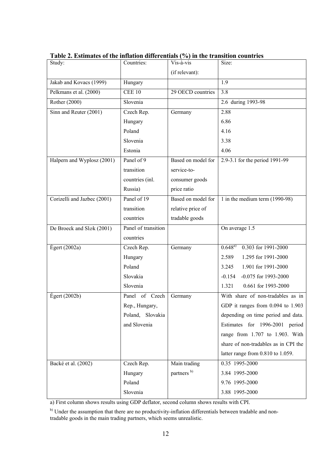| Study:                      | Countries:          | Vis-à-vis              | Size:                                |
|-----------------------------|---------------------|------------------------|--------------------------------------|
|                             |                     | (if relevant):         |                                      |
| Jakab and Kovacs (1999)     | Hungary             |                        | 1.9                                  |
| Pelkmans et al. (2000)      | <b>CEE 10</b>       | 29 OECD countries      | 3.8                                  |
| Rother (2000)               | Slovenia            |                        | 2.6 during 1993-98                   |
| Sinn and Reuter (2001)      | Czech Rep.          | Germany                | 2.88                                 |
|                             | Hungary             |                        | 6.86                                 |
|                             | Poland              |                        | 4.16                                 |
|                             | Slovenia            |                        | 3.38                                 |
|                             | Estonia             |                        | 4.06                                 |
| Halpern and Wyplosz (2001)  | Panel of 9          | Based on model for     | 2.9-3.1 for the period 1991-99       |
|                             | transition          | service-to-            |                                      |
|                             | countries (inl.     | consumer goods         |                                      |
|                             | Russia)             | price ratio            |                                      |
| Corizelli and Jazbec (2001) | Panel of 19         | Based on model for     | 1 in the medium term $(1990-98)$     |
|                             | transition          | relative price of      |                                      |
|                             | countries           | tradable goods         |                                      |
| De Broeck and Sløk (2001)   | Panel of transition |                        | On average 1.5                       |
|                             | countries           |                        |                                      |
| $E$ gert (2002a)            | Czech Rep.          | Germany                | $0.648^{a}$<br>0.303 for 1991-2000   |
|                             | Hungary             |                        | 2.589<br>1.295 for 1991-2000         |
|                             | Poland              |                        | 1.901 for 1991-2000<br>3.245         |
|                             | Slovakia            |                        | $-0.154$<br>-0.075 for 1993-2000     |
|                             | Slovenia            |                        | 1.321<br>0.661 for 1993-2000         |
| $E$ gert (2002b)            | Panel of Czech      | Germany                | With share of non-tradables as in    |
|                             | Rep., Hungary,      |                        | GDP it ranges from 0.094 to 1.903    |
|                             | Poland, Slovakia    |                        | depending on time period and data.   |
|                             | and Slovenia        |                        | Estimates for 1996-2001 period       |
|                             |                     |                        | range from 1.707 to 1.903. With      |
|                             |                     |                        | share of non-tradables as in CPI the |
|                             |                     |                        | latter range from 0.810 to 1.059.    |
| Backé et al. (2002)         | Czech Rep.          | Main trading           | 0.35 1995-2000                       |
|                             | Hungary             | partners <sup>b)</sup> | 3.84 1995-2000                       |
|                             | Poland              |                        | 9.76 1995-2000                       |
|                             | Slovenia            |                        | 3.88 1995-2000                       |

**Table 2. Estimates of the inflation differentials (%) in the transition countries**

a) First column shows results using GDP deflator, second column shows results with CPI.

<sup>&</sup>lt;sup>b)</sup> Under the assumption that there are no productivity-inflation differentials between tradable and nontradable goods in the main trading partners, which seems unrealistic.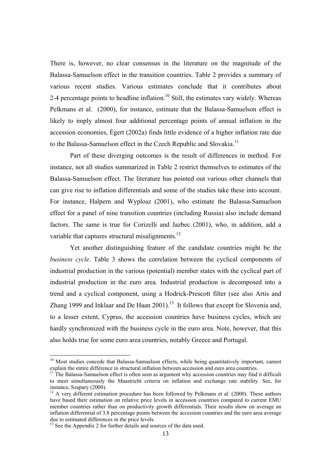There is, however, no clear consensus in the literature on the magnitude of the Balassa-Samuelson effect in the transition countries. Table 2 provides a summary of various recent studies. Various estimates conclude that it contributes about 2-4 percentage points to headline inflation.<sup>10</sup> Still, the estimates vary widely. Whereas Pelkmans et al. (2000), for instance, estimate that the Balassa-Samuelson effect is likely to imply almost four additional percentage points of annual inflation in the accession economies, Ėgert (2002a) finds little evidence of a higher inflation rate due to the Balassa-Samuelson effect in the Czech Republic and Slovakia.<sup>11</sup>

Part of these diverging outcomes is the result of differences in method. For instance, not all studies summarized in Table 2 restrict themselves to estimates of the Balassa-Samuelson effect. The literature has pointed out various other channels that can give rise to inflation differentials and some of the studies take these into account. For instance, Halpern and Wyplosz (2001), who estimate the Balassa-Samuelson effect for a panel of nine transition countries (including Russia) also include demand factors. The same is true for Corizelli and Jazbec (2001), who, in addition, add a variable that captures structural misalignments.<sup>12</sup>

Yet another distinguishing feature of the candidate countries might be the *business cycle*. Table 3 shows the correlation between the cyclical components of industrial production in the various (potential) member states with the cyclical part of industrial production in the euro area. Industrial production is decomposed into a trend and a cyclical component, using a Hodrick-Prescott filter (see also Artis and Zhang 1999 and Inklaar and De Haan  $2001$ .<sup>13</sup> It follows that except for Slovenia and, to a lesser extent, Cyprus, the accession countries have business cycles, which are hardly synchronized with the business cycle in the euro area. Note, however, that this also holds true for some euro area countries, notably Greece and Portugal.

<sup>&</sup>lt;sup>10</sup> Most studies concede that Balassa-Samuelson effects, while being quantitatively important, cannot explain the entire difference in structural inflation between accession and euro area countries.<br><sup>11</sup> The Balassa-Samuelson effect is often seen as argument why accession countries may find it difficult

to meet simultaneously the Maastricht criteria on inflation and exchange rate stability. See, for instance, Szapary (2000).

<sup>&</sup>lt;sup>12</sup> A very different estimation procedure has been followed by Pelkmans et al. (2000). These authors have based their estimation on relative price levels in accession countries compared to current EMU member countries rather than on productivity growth differentials. Their results show on average an inflation differential of 3.8 percentage points between the accession countries and the euro area average due to estimated differences in the price levels.

<sup>&</sup>lt;sup>13</sup> See the Appendix 2 for further details and sources of the data used.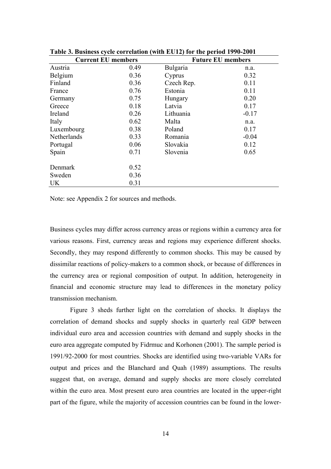| <b>Current EU members</b> |      | $\bullet$ , Business $\bullet$ , the correlation (with EC12) for the period 1996 2001<br><b>Future EU members</b> |         |  |  |
|---------------------------|------|-------------------------------------------------------------------------------------------------------------------|---------|--|--|
| Austria                   | 0.49 | Bulgaria                                                                                                          | n.a.    |  |  |
| Belgium                   | 0.36 | Cyprus                                                                                                            | 0.32    |  |  |
| Finland                   | 0.36 | Czech Rep.                                                                                                        | 0.11    |  |  |
| France                    | 0.76 | Estonia                                                                                                           | 0.11    |  |  |
| Germany                   | 0.75 | Hungary                                                                                                           | 0.20    |  |  |
| Greece                    | 0.18 | Latvia                                                                                                            | 0.17    |  |  |
| Ireland                   | 0.26 | Lithuania                                                                                                         | $-0.17$ |  |  |
| Italy                     | 0.62 | Malta                                                                                                             | n.a.    |  |  |
| Luxembourg                | 0.38 | Poland                                                                                                            | 0.17    |  |  |
| Netherlands               | 0.33 | Romania                                                                                                           | $-0.04$ |  |  |
| Portugal                  | 0.06 | Slovakia                                                                                                          | 0.12    |  |  |
| Spain                     | 0.71 | Slovenia                                                                                                          | 0.65    |  |  |
| Denmark                   | 0.52 |                                                                                                                   |         |  |  |
| Sweden                    | 0.36 |                                                                                                                   |         |  |  |
| <b>UK</b>                 | 0.31 |                                                                                                                   |         |  |  |

**Table 3. Business cycle correlation (with EU12) for the period 1990-2001** 

Note: see Appendix 2 for sources and methods.

Business cycles may differ across currency areas or regions within a currency area for various reasons. First, currency areas and regions may experience different shocks. Secondly, they may respond differently to common shocks. This may be caused by dissimilar reactions of policy-makers to a common shock, or because of differences in the currency area or regional composition of output. In addition, heterogeneity in financial and economic structure may lead to differences in the monetary policy transmission mechanism.

Figure 3 sheds further light on the correlation of shocks. It displays the correlation of demand shocks and supply shocks in quarterly real GDP between individual euro area and accession countries with demand and supply shocks in the euro area aggregate computed by Fidrmuc and Korhonen (2001). The sample period is 1991/92-2000 for most countries. Shocks are identified using two-variable VARs for output and prices and the Blanchard and Quah (1989) assumptions. The results suggest that, on average, demand and supply shocks are more closely correlated within the euro area. Most present euro area countries are located in the upper-right part of the figure, while the majority of accession countries can be found in the lower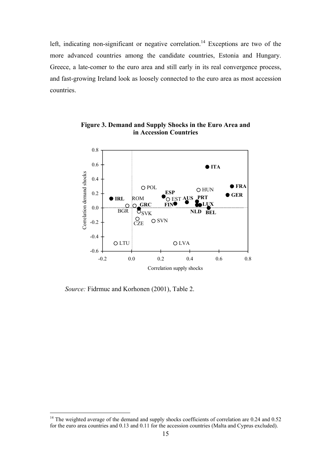left, indicating non-significant or negative correlation.<sup>14</sup> Exceptions are two of the more advanced countries among the candidate countries, Estonia and Hungary. Greece, a late-comer to the euro area and still early in its real convergence process, and fast-growing Ireland look as loosely connected to the euro area as most accession countries.



**Figure 3. Demand and Supply Shocks in the Euro Area and in Accession Countries** 

*Source:* Fidrmuc and Korhonen (2001), Table 2.

<sup>&</sup>lt;sup>14</sup> The weighted average of the demand and supply shocks coefficients of correlation are 0.24 and 0.52 for the euro area countries and 0.13 and 0.11 for the accession countries (Malta and Cyprus excluded).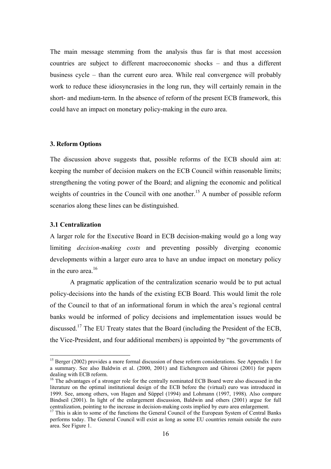The main message stemming from the analysis thus far is that most accession countries are subject to different macroeconomic shocks – and thus a different business cycle – than the current euro area. While real convergence will probably work to reduce these idiosyncrasies in the long run, they will certainly remain in the short- and medium-term. In the absence of reform of the present ECB framework, this could have an impact on monetary policy-making in the euro area.

#### **3. Reform Options**

The discussion above suggests that, possible reforms of the ECB should aim at: keeping the number of decision makers on the ECB Council within reasonable limits; strengthening the voting power of the Board; and aligning the economic and political weights of countries in the Council with one another.<sup>15</sup> A number of possible reform scenarios along these lines can be distinguished.

#### **3.1 Centralization**

 $\overline{a}$ 

A larger role for the Executive Board in ECB decision-making would go a long way limiting *decision-making costs* and preventing possibly diverging economic developments within a larger euro area to have an undue impact on monetary policy in the euro area.<sup>16</sup>

A pragmatic application of the centralization scenario would be to put actual policy-decisions into the hands of the existing ECB Board. This would limit the role of the Council to that of an informational forum in which the area's regional central banks would be informed of policy decisions and implementation issues would be discussed.17 The EU Treaty states that the Board (including the President of the ECB, the Vice-President, and four additional members) is appointed by "the governments of

<sup>&</sup>lt;sup>15</sup> Berger (2002) provides a more formal discussion of these reform considerations. See Appendix 1 for a summary. See also Baldwin et al. (2000, 2001) and Eichengreen and Ghironi (2001) for papers dealing with ECB reform.

<sup>&</sup>lt;sup>16</sup> The advantages of a stronger role for the centrally nominated ECB Board were also discussed in the literature on the optimal institutional design of the ECB before the (virtual) euro was introduced in 1999. See, among others, von Hagen and Süppel (1994) and Lohmann (1997, 1998). Also compare Bindseil (2001). In light of the enlargement discussion, Baldwin and others (2001) argue for full centralization, pointing to the increase in decision-making costs implied by euro area enlargement.

<sup>&</sup>lt;sup>17</sup> This is akin to some of the functions the General Council of the European System of Central Banks performs today. The General Council will exist as long as some EU countries remain outside the euro area. See Figure 1.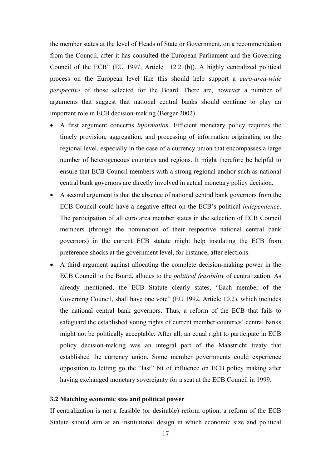the member states at the level of Heads of State or Government, on a recommendation from the Council, after it has consulted the European Parliament and the Governing Council of the ECB" (EU 1997, Article 112 2. (b)). A highly centralized political process on the European level like this should help support a *euro-area-wide perspective* of those selected for the Board. There are, however a number of arguments that suggest that national central banks should continue to play an important role in ECB decision-making (Berger 2002).

- A first argument concerns *information*. Efficient monetary policy requires the timely provision, aggregation, and processing of information originating on the regional level, especially in the case of a currency union that encompasses a large number of heterogeneous countries and regions. It might therefore be helpful to ensure that ECB Council members with a strong regional anchor such as national central bank governors are directly involved in actual monetary policy decision.
- A second argument is that the absence of national central bank governors from the ECB Council could have a negative effect on the ECB's political *independence*. The participation of all euro area member states in the selection of ECB Council members (through the nomination of their respective national central bank governors) in the current ECB statute might help insulating the ECB from preference shocks at the government level, for instance, after elections.
- A third argument against allocating the complete decision-making power in the ECB Council to the Board, alludes to the *political feasibility* of centralization. As already mentioned, the ECB Statute clearly states, "Each member of the Governing Council, shall have one vote" (EU 1992, Article 10.2), which includes the national central bank governors. Thus, a reform of the ECB that fails to safeguard the established voting rights of current member countries' central banks might not be politically acceptable. After all, an equal right to participate in ECB policy decision-making was an integral part of the Maastricht treaty that established the currency union. Some member governments could experience opposition to letting go the "last" bit of influence on ECB policy making after having exchanged monetary sovereignty for a seat at the ECB Council in 1999.

#### **3.2 Matching economic size and political power**

If centralization is not a feasible (or desirable) reform option, a reform of the ECB Statute should aim at an institutional design in which economic size and political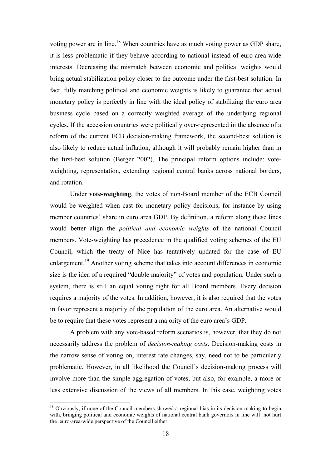voting power are in line.<sup>18</sup> When countries have as much voting power as GDP share, it is less problematic if they behave according to national instead of euro-area-wide interests. Decreasing the mismatch between economic and political weights would bring actual stabilization policy closer to the outcome under the first-best solution. In fact, fully matching political and economic weights is likely to guarantee that actual monetary policy is perfectly in line with the ideal policy of stabilizing the euro area business cycle based on a correctly weighted average of the underlying regional cycles. If the accession countries were politically over-represented in the absence of a reform of the current ECB decision-making framework, the second-best solution is also likely to reduce actual inflation, although it will probably remain higher than in the first-best solution (Berger 2002). The principal reform options include: voteweighting, representation, extending regional central banks across national borders, and rotation.

Under **vote-weighting**, the votes of non-Board member of the ECB Council would be weighted when cast for monetary policy decisions, for instance by using member countries' share in euro area GDP. By definition, a reform along these lines would better align the *political and economic weights* of the national Council members. Vote-weighting has precedence in the qualified voting schemes of the EU Council, which the treaty of Nice has tentatively updated for the case of EU enlargement.19 Another voting scheme that takes into account differences in economic size is the idea of a required "double majority" of votes and population. Under such a system, there is still an equal voting right for all Board members. Every decision requires a majority of the votes. In addition, however, it is also required that the votes in favor represent a majority of the population of the euro area. An alternative would be to require that these votes represent a majority of the euro area's GDP.

A problem with any vote-based reform scenarios is, however, that they do not necessarily address the problem of *decision-making costs*. Decision-making costs in the narrow sense of voting on, interest rate changes, say, need not to be particularly problematic. However, in all likelihood the Council's decision-making process will involve more than the simple aggregation of votes, but also, for example, a more or less extensive discussion of the views of all members. In this case, weighting votes

<sup>&</sup>lt;sup>18</sup> Obviously, if none of the Council members showed a regional bias in its decision-making to begin with, bringing political and economic weights of national central bank governors in line will not hurt the euro-area-wide perspective of the Council either.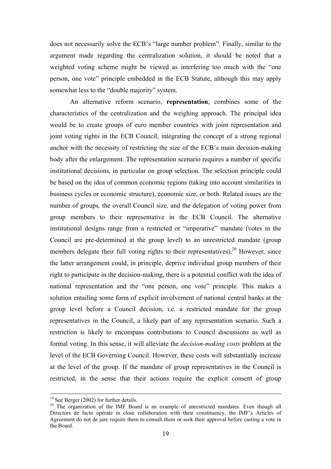does not necessarily solve the ECB's "large number problem". Finally, similar to the argument made regarding the centralization solution, it should be noted that a weighted voting scheme might be viewed as interfering too much with the "one person, one vote" principle embedded in the ECB Statute, although this may apply somewhat less to the "double majority" system.

An alternative reform scenario, **representation**, combines some of the characteristics of the centralization and the weighing approach. The principal idea would be to create groups of euro member countries with joint representation and joint voting rights in the ECB Council, integrating the concept of a strong regional anchor with the necessity of restricting the size of the ECB's main decision-making body after the enlargement. The representation scenario requires a number of specific institutional decisions, in particular on group selection. The selection principle could be based on the idea of common economic regions (taking into account similarities in business cycles or economic structure), economic size, or both. Related issues are the number of groups*,* the overall Council size*,* and the delegation of voting power from group members to their representative in the ECB Council. The alternative institutional designs range from a restricted or "imperative" mandate (votes in the Council are pre-determined at the group level) to an unrestricted mandate (group members delegate their full voting rights to their representatives).<sup>20</sup> However, since the latter arrangement could, in principle, deprive individual group members of their right to participate in the decision-making, there is a potential conflict with the idea of national representation and the "one person, one vote" principle*.* This makes a solution entailing some form of explicit involvement of national central banks at the group level before a Council decision, i.e. a restricted mandate for the group representatives in the Council, a likely part of any representation scenario. Such a restriction is likely to encompass contributions to Council discussions as well as formal voting. In this sense, it will alleviate the *decision-making costs* problem at the level of the ECB Governing Council. However, these costs will substantially increase at the level of the group. If the mandate of group representatives in the Council is restricted, in the sense that their actions require the explicit consent of group

<sup>&</sup>lt;sup>19</sup> See Berger (2002) for further details.

<sup>&</sup>lt;sup>20</sup> The organization of the IMF Board is an example of unrestricted mandates. Even though all Directors de facto operate in close collaboration with their constituency, the IMF's Articles of Agreement do not de jure require them to consult them or seek their approval before casting a vote in the Board.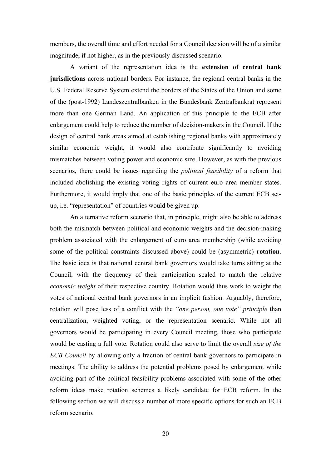members, the overall time and effort needed for a Council decision will be of a similar magnitude, if not higher, as in the previously discussed scenario.

A variant of the representation idea is the **extension of central bank jurisdictions** across national borders. For instance, the regional central banks in the U.S. Federal Reserve System extend the borders of the States of the Union and some of the (post-1992) Landeszentralbanken in the Bundesbank Zentralbankrat represent more than one German Land. An application of this principle to the ECB after enlargement could help to reduce the number of decision-makers in the Council. If the design of central bank areas aimed at establishing regional banks with approximately similar economic weight, it would also contribute significantly to avoiding mismatches between voting power and economic size. However, as with the previous scenarios, there could be issues regarding the *political feasibility* of a reform that included abolishing the existing voting rights of current euro area member states. Furthermore, it would imply that one of the basic principles of the current ECB setup, i.e. "representation" of countries would be given up.

An alternative reform scenario that, in principle, might also be able to address both the mismatch between political and economic weights and the decision-making problem associated with the enlargement of euro area membership (while avoiding some of the political constraints discussed above) could be (asymmetric) **rotation**. The basic idea is that national central bank governors would take turns sitting at the Council, with the frequency of their participation scaled to match the relative *economic weight* of their respective country. Rotation would thus work to weight the votes of national central bank governors in an implicit fashion. Arguably, therefore, rotation will pose less of a conflict with the *"one person, one vote" principle* than centralization, weighted voting, or the representation scenario. While not all governors would be participating in every Council meeting, those who participate would be casting a full vote. Rotation could also serve to limit the overall *size of the ECB Council* by allowing only a fraction of central bank governors to participate in meetings. The ability to address the potential problems posed by enlargement while avoiding part of the political feasibility problems associated with some of the other reform ideas make rotation schemes a likely candidate for ECB reform. In the following section we will discuss a number of more specific options for such an ECB reform scenario.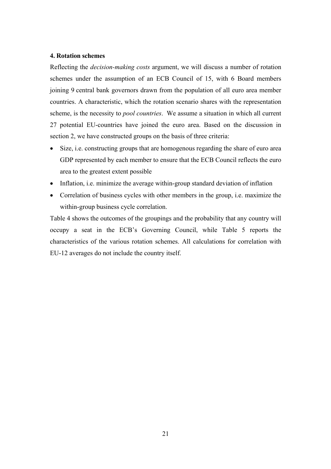#### **4. Rotation schemes**

Reflecting the *decision-making costs* argument, we will discuss a number of rotation schemes under the assumption of an ECB Council of 15, with 6 Board members joining 9 central bank governors drawn from the population of all euro area member countries. A characteristic, which the rotation scenario shares with the representation scheme, is the necessity to *pool countries*. We assume a situation in which all current 27 potential EU-countries have joined the euro area. Based on the discussion in section 2, we have constructed groups on the basis of three criteria:

- Size, i.e. constructing groups that are homogenous regarding the share of euro area GDP represented by each member to ensure that the ECB Council reflects the euro area to the greatest extent possible
- Inflation, i.e. minimize the average within-group standard deviation of inflation
- Correlation of business cycles with other members in the group, i.e. maximize the within-group business cycle correlation.

Table 4 shows the outcomes of the groupings and the probability that any country will occupy a seat in the ECB's Governing Council, while Table 5 reports the characteristics of the various rotation schemes. All calculations for correlation with EU-12 averages do not include the country itself.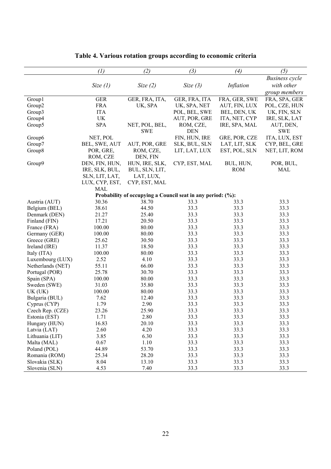|                   | (1)                   | (2)                                                         | (3)                     | (4)           | (5)                     |
|-------------------|-----------------------|-------------------------------------------------------------|-------------------------|---------------|-------------------------|
|                   |                       |                                                             |                         |               | <b>Business</b> cycle   |
|                   |                       |                                                             |                         | Inflation     | with other              |
|                   | Size $(l)$            | Size $(2)$                                                  | Size $(3)$              |               |                         |
|                   |                       |                                                             |                         |               | group members           |
| Group1            | <b>GER</b>            | GER, FRA, ITA,                                              | GER, FRA, ITA           | FRA, GER, SWE | FRA, SPA, GER           |
| Group2            | <b>FRA</b>            | UK, SPA                                                     | UK, SPA, NET            | AUT, FIN, LUX | POL, CZE, HUN           |
| Group3            | <b>ITA</b>            |                                                             | POL, BEL, SWE           | BEL, DEN, UK  | UK, FIN, SLN            |
| Group4            | UK                    |                                                             | AUT, POR, GRE           | ITA, NET, CYP | IRE, SLK, LAT           |
| Group5            | SPA                   | NET, POL, BEL,                                              | ROM, CZE,<br><b>DEN</b> | IRE, SPA, MAL | AUT, DEN,<br><b>SWE</b> |
|                   | NET, POL              | <b>SWE</b>                                                  | FIN, HUN, IRE           | GRE, POR, CZE | ITA, LUX, EST           |
| Group6            |                       |                                                             |                         |               | CYP, BEL, GRE           |
| Group7            | BEL, SWE, AUT         | AUT, POR, GRE                                               | SLK, BUL, SLN           | LAT, LIT, SLK |                         |
| Group8            | POR, GRE,<br>ROM, CZE | ROM, CZE,<br>DEN, FIN                                       | LIT, LAT, LUX           | EST, POL, SLN | NET, LIT, ROM           |
| Group9            | DEN, FIN, HUN,        | HUN, IRE, SLK,                                              | CYP, EST, MAL           | BUL, HUN,     | POR, BUL,               |
|                   | IRE, SLK, BUL,        |                                                             |                         | <b>ROM</b>    | <b>MAL</b>              |
|                   | SLN, LIT, LAT,        | BUL, SLN, LIT,<br>LAT, LUX,                                 |                         |               |                         |
|                   | LUX, CYP, EST,        | CYP, EST, MAL                                               |                         |               |                         |
|                   | <b>MAL</b>            |                                                             |                         |               |                         |
|                   |                       | Probability of occupying a Council seat in any period: (%): |                         |               |                         |
| Austria (AUT)     | 30.36                 | 38.70                                                       | 33.3                    | 33.3          | 33.3                    |
| Belgium (BEL)     | 38.61                 | 44.50                                                       | 33.3                    | 33.3          | 33.3                    |
| Denmark (DEN)     | 21.27                 | 25.40                                                       | 33.3                    | 33.3          | 33.3                    |
| Finland (FIN)     | 17.21                 | 20.50                                                       | 33.3                    | 33.3          | 33.3                    |
| France (FRA)      | 100.00                | 80.00                                                       | 33.3                    | 33.3          | 33.3                    |
| Germany (GER)     | 100.00                | 80.00                                                       | 33.3                    | 33.3          | 33.3                    |
| Greece (GRE)      | 25.62                 | 30.50                                                       | 33.3                    | 33.3          | 33.3                    |
| Ireland (IRE)     | 11.37                 | 18.50                                                       | 33.3                    | 33.3          | 33.3                    |
| Italy (ITA)       | 100.00                | 80.00                                                       | 33.3                    | 33.3          | 33.3                    |
| Luxembourg (LUX)  | 2.52                  | 4.10                                                        | 33.3                    | 33.3          | 33.3                    |
| Netherlands (NET) | 55.11                 | 66.00                                                       | 33.3                    | 33.3          | 33.3                    |
| Portugal (POR)    | 25.78                 | 30.70                                                       | 33.3                    | 33.3          | 33.3                    |
| Spain (SPA)       | 100.00                | 80.00                                                       | 33.3                    | 33.3          | 33.3                    |
| Sweden (SWE)      | 31.03                 | 35.80                                                       | 33.3                    | 33.3          | 33.3                    |
| UK(UK)            | 100.00                | 80.00                                                       | 33.3                    | 33.3          | 33.3                    |
| Bulgaria (BUL)    | 7.62                  | 12.40                                                       | 33.3                    | 33.3          | 33.3                    |
| Cyprus (CYP)      | 1.79                  | 2.90                                                        | 33.3                    | 33.3          | 33.3                    |
| Czech Rep. (CZE)  | 23.26                 | 25.90                                                       | 33.3                    | 33.3          | 33.3                    |
| Estonia (EST)     | 1.71                  | 2.80                                                        | 33.3                    | 33.3          | 33.3                    |
| Hungary (HUN)     | 16.83                 | 20.10                                                       | 33.3                    | 33.3          | 33.3                    |
| Latvia (LAT)      | 2.60                  | 4.20                                                        | 33.3                    | 33.3          | 33.3                    |
| Lithuania (LIT)   | 3.85                  | 6.30                                                        | 33.3                    | 33.3          | 33.3                    |
| Malta (MAL)       | 0.67                  | 1.10                                                        | 33.3                    | 33.3          | 33.3                    |
| Poland (POL)      | 44.89                 | 53.70                                                       | 33.3                    | 33.3          | 33.3                    |
| Romania (ROM)     | 25.34                 | 28.20                                                       | 33.3                    | 33.3          | 33.3                    |
| Slovakia (SLK)    | 8.04                  | 13.10                                                       | 33.3                    | 33.3          | 33.3                    |
| Slovenia (SLN)    | 4.53                  | 7.40                                                        | 33.3                    | 33.3          | 33.3                    |

**Table 4. Various rotation groups according to economic criteria**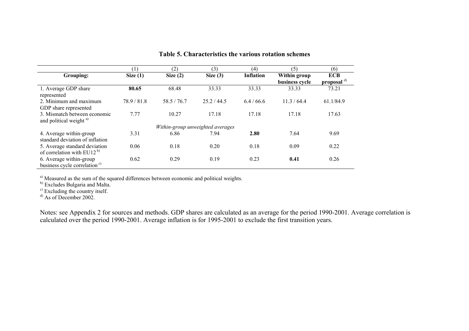|                                                                     |                                  | (2)        | (3)         | (4)              | (5)            | (6)                    |
|---------------------------------------------------------------------|----------------------------------|------------|-------------|------------------|----------------|------------------------|
| Grouping:                                                           | Size $(1)$                       | Size $(2)$ | Size $(3)$  | <b>Inflation</b> | Within group   | <b>ECB</b>             |
|                                                                     |                                  |            |             |                  | business cycle | proposal <sup>d)</sup> |
| 1. Average GDP share<br>represented                                 | 80.65                            | 68.48      | 33.33       | 33.33            | 33.33          | 73.21                  |
| 2. Minimum and maximum<br>GDP share represented                     | 78.9 / 81.8                      | 58.5/76.7  | 25.2 / 44.5 | 6.4/66.6         | 11.3 / 64.4    | 61.1/84.9              |
| 3. Mismatch between economic<br>and political weight <sup>a)</sup>  | 7.77                             | 10.27      | 17.18       | 17.18            | 17.18          | 17.63                  |
|                                                                     | Within-group unweighted averages |            |             |                  |                |                        |
| 4. Average within-group<br>standard deviation of inflation          | 3.31                             | 6.86       | 7.94        | 2.80             | 7.64           | 9.69                   |
| 5. Average standard deviation<br>of correlation with $EU12^{b}$     | 0.06                             | 0.18       | 0.20        | 0.18             | 0.09           | 0.22                   |
| 6. Average within-group<br>business cycle correlation <sup>c)</sup> | 0.62                             | 0.29       | 0.19        | 0.23             | 0.41           | 0.26                   |

#### **Table 5. Characteristics the various rotation schemes**

<sup>a)</sup> Measured as the sum of the squared differences between economic and political weights.

<sup>b)</sup> Excludes Bulgaria and Malta.

<sup>c)</sup> Excluding the country itself.

 $^{d)}$  As of December 2002.

Notes: see Appendix 2 for sources and methods. GDP shares are calculated as an average for the period 1990-2001. Average correlation is calculated over the period 1990-2001. Average inflation is for 1995-2001 to exclude the first transition years.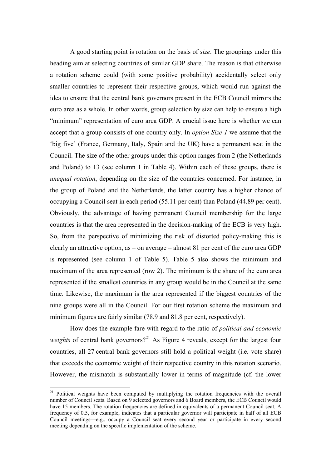A good starting point is rotation on the basis of *size*. The groupings under this heading aim at selecting countries of similar GDP share. The reason is that otherwise a rotation scheme could (with some positive probability) accidentally select only smaller countries to represent their respective groups, which would run against the idea to ensure that the central bank governors present in the ECB Council mirrors the euro area as a whole. In other words, group selection by size can help to ensure a high "minimum" representation of euro area GDP. A crucial issue here is whether we can accept that a group consists of one country only. In *option Size 1* we assume that the 'big five' (France, Germany, Italy, Spain and the UK) have a permanent seat in the Council. The size of the other groups under this option ranges from 2 (the Netherlands and Poland) to 13 (see column 1 in Table 4). Within each of these groups, there is *unequal rotation*, depending on the size of the countries concerned. For instance, in the group of Poland and the Netherlands, the latter country has a higher chance of occupying a Council seat in each period (55.11 per cent) than Poland (44.89 per cent). Obviously, the advantage of having permanent Council membership for the large countries is that the area represented in the decision-making of the ECB is very high. So, from the perspective of minimizing the risk of distorted policy-making this is clearly an attractive option, as – on average – almost 81 per cent of the euro area GDP is represented (see column 1 of Table 5). Table 5 also shows the minimum and maximum of the area represented (row 2). The minimum is the share of the euro area represented if the smallest countries in any group would be in the Council at the same time. Likewise, the maximum is the area represented if the biggest countries of the nine groups were all in the Council. For our first rotation scheme the maximum and minimum figures are fairly similar (78.9 and 81.8 per cent, respectively).

How does the example fare with regard to the ratio of *political and economic weights* of central bank governors?<sup>21</sup> As Figure 4 reveals, except for the largest four countries, all 27 central bank governors still hold a political weight (i.e. vote share) that exceeds the economic weight of their respective country in this rotation scenario. However, the mismatch is substantially lower in terms of magnitude (cf. the lower

<sup>&</sup>lt;sup>21</sup> Political weights have been computed by multiplying the rotation frequencies with the overall number of Council seats. Based on 9 selected governors and 6 Board members, the ECB Council would have 15 members. The rotation frequencies are defined in equivalents of a permanent Council seat. A frequency of 0.5, for example, indicates that a particular governor will participate in half of all ECB Council meetings—e.g., occupy a Council seat every second year or participate in every second meeting depending on the specific implementation of the scheme.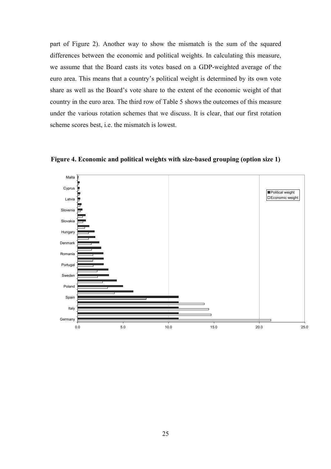part of Figure 2). Another way to show the mismatch is the sum of the squared differences between the economic and political weights. In calculating this measure, we assume that the Board casts its votes based on a GDP-weighted average of the euro area. This means that a country's political weight is determined by its own vote share as well as the Board's vote share to the extent of the economic weight of that country in the euro area. The third row of Table 5 shows the outcomes of this measure under the various rotation schemes that we discuss. It is clear, that our first rotation scheme scores best, i.e. the mismatch is lowest.



**Figure 4. Economic and political weights with size-based grouping (option size 1)**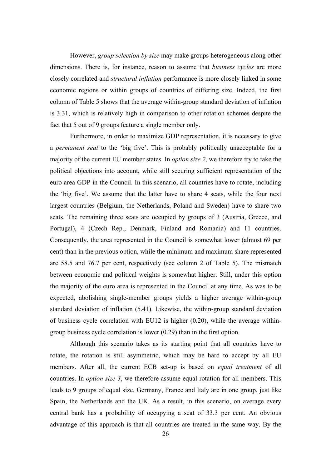However, *group selection by size* may make groups heterogeneous along other dimensions. There is, for instance, reason to assume that *business cycles* are more closely correlated and *structural inflation* performance is more closely linked in some economic regions or within groups of countries of differing size. Indeed, the first column of Table 5 shows that the average within-group standard deviation of inflation is 3.31, which is relatively high in comparison to other rotation schemes despite the fact that 5 out of 9 groups feature a single member only.

Furthermore, in order to maximize GDP representation, it is necessary to give a *permanent seat* to the 'big five'. This is probably politically unacceptable for a majority of the current EU member states. In *option size 2*, we therefore try to take the political objections into account, while still securing sufficient representation of the euro area GDP in the Council. In this scenario, all countries have to rotate, including the 'big five'. We assume that the latter have to share 4 seats, while the four next largest countries (Belgium, the Netherlands, Poland and Sweden) have to share two seats. The remaining three seats are occupied by groups of 3 (Austria, Greece, and Portugal), 4 (Czech Rep., Denmark, Finland and Romania) and 11 countries. Consequently, the area represented in the Council is somewhat lower (almost 69 per cent) than in the previous option, while the minimum and maximum share represented are 58.5 and 76.7 per cent, respectively (see column 2 of Table 5). The mismatch between economic and political weights is somewhat higher. Still, under this option the majority of the euro area is represented in the Council at any time. As was to be expected, abolishing single-member groups yields a higher average within-group standard deviation of inflation (5.41). Likewise, the within-group standard deviation of business cycle correlation with EU12 is higher (0.20), while the average withingroup business cycle correlation is lower (0.29) than in the first option.

Although this scenario takes as its starting point that all countries have to rotate, the rotation is still asymmetric, which may be hard to accept by all EU members. After all, the current ECB set-up is based on *equal treatment* of all countries. In *option size 3*, we therefore assume equal rotation for all members. This leads to 9 groups of equal size. Germany, France and Italy are in one group, just like Spain, the Netherlands and the UK. As a result, in this scenario, on average every central bank has a probability of occupying a seat of 33.3 per cent. An obvious advantage of this approach is that all countries are treated in the same way. By the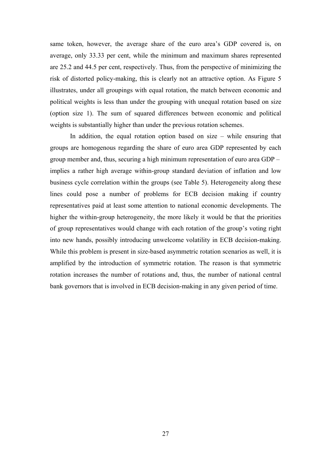same token, however, the average share of the euro area's GDP covered is, on average, only 33.33 per cent, while the minimum and maximum shares represented are 25.2 and 44.5 per cent, respectively. Thus, from the perspective of minimizing the risk of distorted policy-making, this is clearly not an attractive option. As Figure 5 illustrates, under all groupings with equal rotation, the match between economic and political weights is less than under the grouping with unequal rotation based on size (option size 1). The sum of squared differences between economic and political weights is substantially higher than under the previous rotation schemes.

In addition, the equal rotation option based on size  $-$  while ensuring that groups are homogenous regarding the share of euro area GDP represented by each group member and, thus, securing a high minimum representation of euro area GDP – implies a rather high average within-group standard deviation of inflation and low business cycle correlation within the groups (see Table 5). Heterogeneity along these lines could pose a number of problems for ECB decision making if country representatives paid at least some attention to national economic developments. The higher the within-group heterogeneity, the more likely it would be that the priorities of group representatives would change with each rotation of the group's voting right into new hands, possibly introducing unwelcome volatility in ECB decision-making. While this problem is present in size-based asymmetric rotation scenarios as well, it is amplified by the introduction of symmetric rotation. The reason is that symmetric rotation increases the number of rotations and, thus, the number of national central bank governors that is involved in ECB decision-making in any given period of time.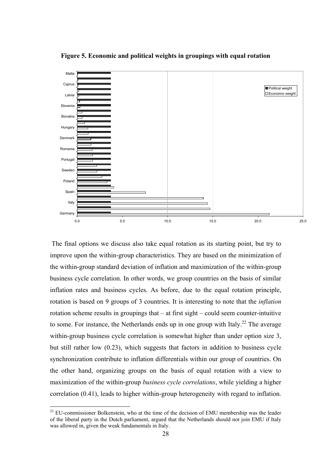

**Figure 5. Economic and political weights in groupings with equal rotation** 

 The final options we discuss also take equal rotation as its starting point, but try to improve upon the within-group characteristics. They are based on the minimization of the within-group standard deviation of inflation and maximization of the within-group business cycle correlation. In other words, we group countries on the basis of similar inflation rates and business cycles. As before, due to the equal rotation principle, rotation is based on 9 groups of 3 countries. It is interesting to note that the *inflation* rotation scheme results in groupings that – at first sight – could seem counter-intuitive to some. For instance, the Netherlands ends up in one group with Italy.<sup>22</sup> The average within-group business cycle correlation is somewhat higher than under option size 3, but still rather low (0.23), which suggests that factors in addition to business cycle synchronization contribute to inflation differentials within our group of countries. On the other hand, organizing groups on the basis of equal rotation with a view to maximization of the within-group *business cycle correlations*, while yielding a higher correlation (0.41), leads to higher within-group heterogeneity with regard to inflation.

 $22$  EU-commissioner Bolkenstein, who at the time of the decision of EMU membership was the leader of the liberal party in the Dutch parliament, argued that the Netherlands should not join EMU if Italy was allowed in, given the weak fundamentals in Italy.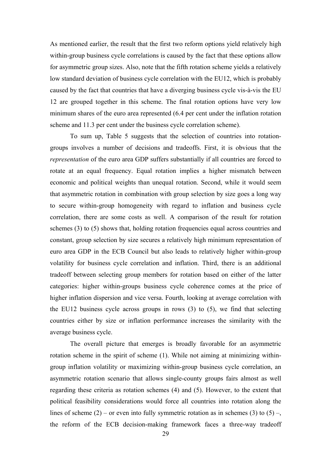As mentioned earlier, the result that the first two reform options yield relatively high within-group business cycle correlations is caused by the fact that these options allow for asymmetric group sizes. Also, note that the fifth rotation scheme yields a relatively low standard deviation of business cycle correlation with the EU12, which is probably caused by the fact that countries that have a diverging business cycle vis-à-vis the EU 12 are grouped together in this scheme. The final rotation options have very low minimum shares of the euro area represented (6.4 per cent under the inflation rotation scheme and 11.3 per cent under the business cycle correlation scheme).

To sum up, Table 5 suggests that the selection of countries into rotationgroups involves a number of decisions and tradeoffs. First, it is obvious that the *representation* of the euro area GDP suffers substantially if all countries are forced to rotate at an equal frequency. Equal rotation implies a higher mismatch between economic and political weights than unequal rotation. Second, while it would seem that asymmetric rotation in combination with group selection by size goes a long way to secure within-group homogeneity with regard to inflation and business cycle correlation, there are some costs as well. A comparison of the result for rotation schemes (3) to (5) shows that, holding rotation frequencies equal across countries and constant, group selection by size secures a relatively high minimum representation of euro area GDP in the ECB Council but also leads to relatively higher within-group volatility for business cycle correlation and inflation. Third, there is an additional tradeoff between selecting group members for rotation based on either of the latter categories: higher within-groups business cycle coherence comes at the price of higher inflation dispersion and vice versa. Fourth, looking at average correlation with the EU12 business cycle across groups in rows (3) to (5), we find that selecting countries either by size or inflation performance increases the similarity with the average business cycle.

The overall picture that emerges is broadly favorable for an asymmetric rotation scheme in the spirit of scheme (1). While not aiming at minimizing withingroup inflation volatility or maximizing within-group business cycle correlation, an asymmetric rotation scenario that allows single-county groups fairs almost as well regarding these criteria as rotation schemes (4) and (5). However, to the extent that political feasibility considerations would force all countries into rotation along the lines of scheme (2) – or even into fully symmetric rotation as in schemes (3) to (5) –, the reform of the ECB decision-making framework faces a three-way tradeoff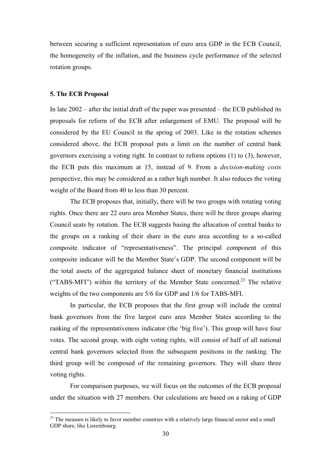between securing a sufficient representation of euro area GDP in the ECB Council, the homogeneity of the inflation, and the business cycle performance of the selected rotation groups.

#### **5. The ECB Proposal**

 $\overline{a}$ 

In late  $2002$  – after the initial draft of the paper was presented – the ECB published its proposals for reform of the ECB after enlargement of EMU. The proposal will be considered by the EU Council in the spring of 2003. Like in the rotation schemes considered above, the ECB proposal puts a limit on the number of central bank governors exercising a voting right. In contrast to reform options (1) to (3), however, the ECB puts this maximum at 15, instead of 9. From a *decision-making costs*  perspective, this may be considered as a rather high number. It also reduces the voting weight of the Board from 40 to less than 30 percent.

The ECB proposes that, initially, there will be two groups with rotating voting rights. Once there are 22 euro area Member States, there will be three groups sharing Council seats by rotation. The ECB suggests basing the allocation of central banks to the groups on a ranking of their share in the euro area according to a so-called composite indicator of "representativeness". The principal component of this composite indicator will be the Member State's GDP. The second component will be the total assets of the aggregated balance sheet of monetary financial institutions ("TABS-MFI") within the territory of the Member State concerned.<sup>23</sup> The relative weights of the two components are 5/6 for GDP and 1/6 for TABS-MFI.

In particular, the ECB proposes that the first group will include the central bank governors from the five largest euro area Member States according to the ranking of the representativeness indicator (the 'big five'). This group will have four votes. The second group, with eight voting rights, will consist of half of all national central bank governors selected from the subsequent positions in the ranking. The third group will be composed of the remaining governors. They will share three voting rights.

For comparison purposes, we will focus on the outcomes of the ECB proposal under the situation with 27 members. Our calculations are based on a raking of GDP

<sup>&</sup>lt;sup>23</sup> The measure is likely to favor member countries with a relatively large financial sector and a small GDP share, like Luxembourg.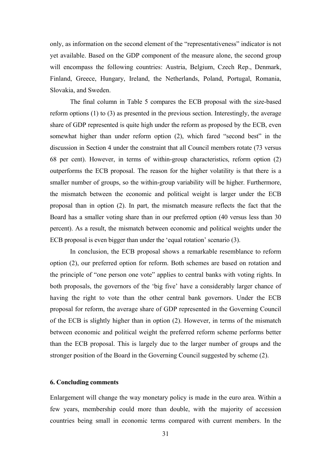only, as information on the second element of the "representativeness" indicator is not yet available. Based on the GDP component of the measure alone, the second group will encompass the following countries: Austria, Belgium, Czech Rep., Denmark, Finland, Greece, Hungary, Ireland, the Netherlands, Poland, Portugal, Romania, Slovakia, and Sweden.

The final column in Table 5 compares the ECB proposal with the size-based reform options (1) to (3) as presented in the previous section. Interestingly, the average share of GDP represented is quite high under the reform as proposed by the ECB, even somewhat higher than under reform option (2), which fared "second best" in the discussion in Section 4 under the constraint that all Council members rotate (73 versus 68 per cent). However, in terms of within-group characteristics, reform option (2) outperforms the ECB proposal. The reason for the higher volatility is that there is a smaller number of groups, so the within-group variability will be higher. Furthermore, the mismatch between the economic and political weight is larger under the ECB proposal than in option (2). In part, the mismatch measure reflects the fact that the Board has a smaller voting share than in our preferred option (40 versus less than 30 percent). As a result, the mismatch between economic and political weights under the ECB proposal is even bigger than under the 'equal rotation' scenario (3).

In conclusion, the ECB proposal shows a remarkable resemblance to reform option (2), our preferred option for reform. Both schemes are based on rotation and the principle of "one person one vote" applies to central banks with voting rights. In both proposals, the governors of the 'big five' have a considerably larger chance of having the right to vote than the other central bank governors. Under the ECB proposal for reform, the average share of GDP represented in the Governing Council of the ECB is slightly higher than in option (2). However, in terms of the mismatch between economic and political weight the preferred reform scheme performs better than the ECB proposal. This is largely due to the larger number of groups and the stronger position of the Board in the Governing Council suggested by scheme (2).

#### **6. Concluding comments**

Enlargement will change the way monetary policy is made in the euro area. Within a few years, membership could more than double, with the majority of accession countries being small in economic terms compared with current members. In the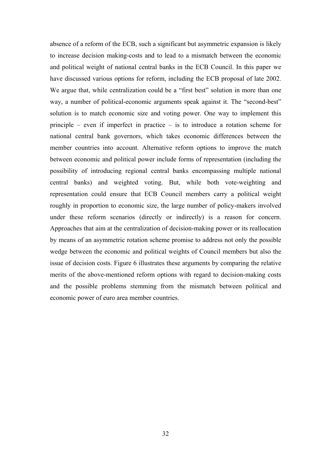absence of a reform of the ECB, such a significant but asymmetric expansion is likely to increase decision making-costs and to lead to a mismatch between the economic and political weight of national central banks in the ECB Council. In this paper we have discussed various options for reform, including the ECB proposal of late 2002. We argue that, while centralization could be a "first best" solution in more than one way, a number of political-economic arguments speak against it. The "second-best" solution is to match economic size and voting power. One way to implement this principle – even if imperfect in practice – is to introduce a rotation scheme for national central bank governors, which takes economic differences between the member countries into account. Alternative reform options to improve the match between economic and political power include forms of representation (including the possibility of introducing regional central banks encompassing multiple national central banks) and weighted voting. But, while both vote-weighting and representation could ensure that ECB Council members carry a political weight roughly in proportion to economic size, the large number of policy-makers involved under these reform scenarios (directly or indirectly) is a reason for concern. Approaches that aim at the centralization of decision-making power or its reallocation by means of an asymmetric rotation scheme promise to address not only the possible wedge between the economic and political weights of Council members but also the issue of decision costs. Figure 6 illustrates these arguments by comparing the relative merits of the above-mentioned reform options with regard to decision-making costs and the possible problems stemming from the mismatch between political and economic power of euro area member countries.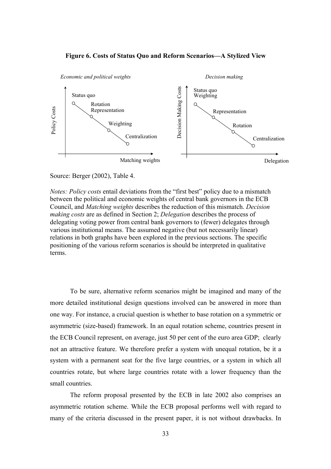



#### Source: Berger (2002), Table 4.

*Notes: Policy costs* entail deviations from the "first best" policy due to a mismatch between the political and economic weights of central bank governors in the ECB Council, and *Matching weights* describes the reduction of this mismatch. *Decision making costs* are as defined in Section 2; *Delegation* describes the process of delegating voting power from central bank governors to (fewer) delegates through various institutional means. The assumed negative (but not necessarily linear) relations in both graphs have been explored in the previous sections. The specific positioning of the various reform scenarios is should be interpreted in qualitative terms.

To be sure, alternative reform scenarios might be imagined and many of the more detailed institutional design questions involved can be answered in more than one way. For instance, a crucial question is whether to base rotation on a symmetric or asymmetric (size-based) framework. In an equal rotation scheme, countries present in the ECB Council represent, on average, just 50 per cent of the euro area GDP; clearly not an attractive feature. We therefore prefer a system with unequal rotation, be it a system with a permanent seat for the five large countries, or a system in which all countries rotate, but where large countries rotate with a lower frequency than the small countries.

The reform proposal presented by the ECB in late 2002 also comprises an asymmetric rotation scheme. While the ECB proposal performs well with regard to many of the criteria discussed in the present paper, it is not without drawbacks. In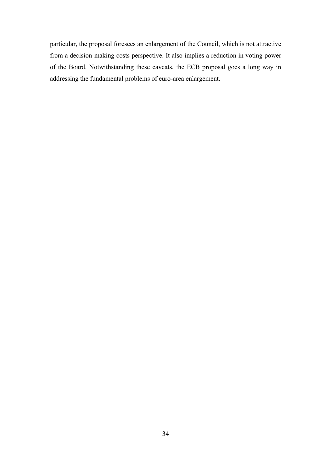particular, the proposal foresees an enlargement of the Council, which is not attractive from a decision-making costs perspective. It also implies a reduction in voting power of the Board. Notwithstanding these caveats, the ECB proposal goes a long way in addressing the fundamental problems of euro-area enlargement.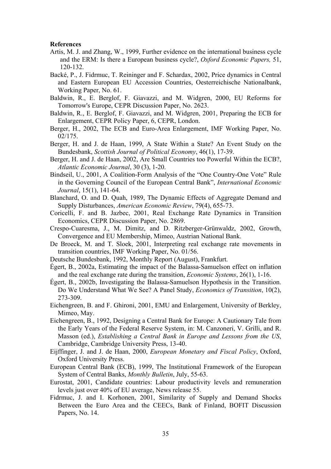#### **References**

- Artis, M. J. and Zhang, W., 1999, Further evidence on the international business cycle and the ERM: Is there a European business cycle?, *Oxford Economic Papers,* 51, 120-132.
- Backé, P., J. Fidrmuc, T. Reininger and F. Schardax, 2002, Price dynamics in Central and Eastern European EU Accession Countries, Oesterreichische Nationalbank, Working Paper, No. 61.
- Baldwin, R., E. Berglof, F. Giavazzi, and M. Widgren, 2000, EU Reforms for Tomorrow's Europe, CEPR Discussion Paper, No. 2623.
- Baldwin, R., E. Berglof, F. Giavazzi, and M. Widgren, 2001, Preparing the ECB for Enlargement, CEPR Policy Paper, 6, CEPR, London.
- Berger, H., 2002, The ECB and Euro-Area Enlargement, IMF Working Paper, No. 02/175.
- Berger, H. and J. de Haan, 1999, A State Within a State? An Event Study on the Bundesbank, *Scottish Journal of Political Economy*, 46(1), 17-39.
- Berger, H. and J. de Haan, 2002, Are Small Countries too Powerful Within the ECB?, *Atlantic Economic Journal*, 30 (3), 1-20.
- Bindseil, U., 2001, A Coalition-Form Analysis of the "One Country-One Vote" Rule in the Governing Council of the European Central Bank", *International Economic Journal*, 15(1), 141-64.
- Blanchard, O. and D. Quah, 1989, The Dynamic Effects of Aggregate Demand and Supply Disturbances, *American Economic Review*, 79(4), 655-73.
- Coricelli, F. and B. Jazbec, 2001, Real Exchange Rate Dynamics in Transition Economics, CEPR Discussion Paper, No. 2869.
- Crespo-Cuaresma, J., M. Dimitz, and D. Ritzberger-Grünwaldz, 2002, Growth, Convergence and EU Membership, Mimeo, Austrian National Bank.
- De Broeck, M. and T. Sloek, 2001, Interpreting real exchange rate movements in transition countries, IMF Working Paper, No. 01/56.
- Deutsche Bundesbank, 1992, Monthly Report (August), Frankfurt.
- Égert, B., 2002a, Estimating the impact of the Balassa-Samuelson effect on inflation and the real exchange rate during the transition, *Economic Systems*, 26(1), 1-16.
- Égert, B., 2002b, Investigating the Balassa-Samuelson Hypothesis in the Transition. Do We Understand What We See? A Panel Study, *Economics of Transition*, 10(2), 273-309.
- Eichengreen, B. and F. Ghironi, 2001, EMU and Enlargement, University of Berkley, Mimeo, May.
- Eichengreen, B., 1992, Designing a Central Bank for Europe: A Cautionary Tale from the Early Years of the Federal Reserve System, in: M. Canzoneri, V. Grilli, and R. Masson (ed.), *Establishing a Central Bank in Europe and Lessons from the US*, Cambridge, Cambridge University Press, 13-40.
- Eijffinger, J. and J. de Haan, 2000, *European Monetary and Fiscal Policy*, Oxford, Oxford University Press.
- European Central Bank (ECB), 1999, The Institutional Framework of the European System of Central Banks, *Monthly Bulletin*, July, 55-63.
- Eurostat, 2001, Candidate countries: Labour productivity levels and remuneration levels just over 40% of EU average, News release 55.
- Fidrmuc, J. and I. Korhonen, 2001, Similarity of Supply and Demand Shocks Between the Euro Area and the CEECs, Bank of Finland, BOFIT Discussion Papers, No. 14.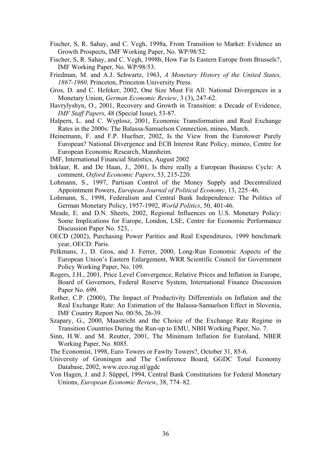- Fischer, S, R. Sahay, and C. Vegh, 1998a, From Transition to Market: Evidence an Growth Prospects, IMF Working Paper, No. WP/98/52.
- Fischer, S, R. Sahay, and C. Vegh, 1998b, How Far Is Eastern Europe from Brussels?, IMF Working Paper, No. WP/98/53.
- Friedman, M. and A.J. Schwartz, 1963, *A Monetary History of the United States, 1867-1960,* Princeton, Princeton University Press.
- Gros, D. and C. Hefeker, 2002, One Size Must Fit All: National Divergences in a Monetary Union, *German Economic Review*, 3 (3), 247-62.
- Havrylyshyn, O., 2001, Recovery and Growth in Transition: a Decade of Evidence, *IMF Staff Papers*, 48 (Special Issue), 53-87.
- Halpern, L. and C. Wyplosz, 2001, Economic Transformation and Real Exchange Rates in the 2000s: The Balassa-Samuelson Connection, mineo, March.
- Heinemann, F. and F.P. Huefner, 2002, Is the View from the Eurotower Purely European? National Divergence and ECB Interest Rate Policy, mimeo, Centre for European Economic Research, Mannheim.
- IMF, International Financial Statistics, August 2002
- Inklaar, R. and De Haan, J., 2001, Is there really a European Business Cycle: A comment, *Oxford Economic Papers*, 53, 215-220.
- Lohmann, S., 1997, Partisan Control of the Money Supply and Decentralized Appointment Powers, *European Journal of Political Economy*, 13, 225–46.
- Lohmann, S., 1998, Federalism and Central Bank Independence: The Politics of German Monetary Policy, 1957-1992, *World Politics*, 50, 401-46.
- Meade, E. and D.N. Sheets, 2002, Regional Influences on U.S. Monetary Policy: Some Implications for Europe, London, LSE, Centre for Economic Performance Discussion Paper No. 523, .
- OECD (2002), Purchasing Power Parities and Real Expenditures, 1999 benchmark year, OECD: Paris.
- Pelkmans, J., D. Gros, and J. Ferrer, 2000, Long-Run Economic Aspects of the European Union's Eastern Enlargement, WRR Scientific Council for Government Policy Working Paper, No. 109.
- Rogers, J.H., 2001, Price Level Convergence, Relative Prices and Inflation in Europe, Board of Governors, Federal Reserve System, International Finance Discussion Paper No. 699.
- Rother, C.P. (2000), The Impact of Productivity Differentials on Inflation and the Real Exchange Rate: An Estimation of the Balassa-Samuelson Effect in Slovenia, IMF Country Report No. 00/56, 26-39.
- Szapary, G., 2000, Maastricht and the Choice of the Exchange Rate Regime in Transition Countries During the Run-up to EMU, NBH Working Paper, No. 7.
- Sinn, H.W. and M. Reutter, 2001, The Minimum Inflation for Euroland, NBER Working Paper, No. 8085.
- The Economist, 1998, Euro Towers or Fawlty Towers?, October 31, 85-6.
- University of Groningen and The Conference Board, GGDC Total Economy Database, 2002, www.eco.rug.nl/ggdc
- Von Hagen, J. and J. Süppel, 1994, Central Bank Constitutions for Federal Monetary Unions, *European Economic Review*, 38, 774–82.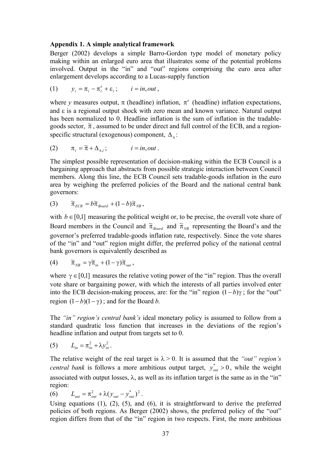#### **Appendix 1. A simple analytical framework**

Berger (2002) develops a simple Barro-Gordon type model of monetary policy making within an enlarged euro area that illustrates some of the potential problems involved. Output in the "in" and "out" regions comprising the euro area after enlargement develops according to a Lucas-supply function

(1) 
$$
y_i = \pi_i - \pi_i^e + \varepsilon_i
$$
;  $i = in, out$ ,

where *y* measures output,  $\pi$  (headline) inflation,  $\pi^e$  (headline) inflation expectations, and  $\epsilon$  is a regional output shock with zero mean and known variance. Natural output has been normalized to 0. Headline inflation is the sum of inflation in the tradablegoods sector,  $\tilde{\pi}$ , assumed to be under direct and full control of the ECB, and a regionspecific structural (exogenous) component,  $\Delta_{\pi}$ :

(2) 
$$
\pi_i = \widetilde{\pi} + \Delta_{\pi,i}; \qquad i = in, out.
$$

The simplest possible representation of decision-making within the ECB Council is a bargaining approach that abstracts from possible strategic interaction between Council members. Along this line, the ECB Council sets tradable-goods inflation in the euro area by weighing the preferred policies of the Board and the national central bank governors:

(3) 
$$
\widetilde{\pi}_{ECB} = b \widetilde{\pi}_{Board} + (1-b) \widetilde{\pi}_{NB},
$$

with  $b \in [0,1]$  measuring the political weight or, to be precise, the overall vote share of Board members in the Council and  $\tilde{\pi}_{\text{Board}}$  and  $\tilde{\pi}_{\text{NB}}$  representing the Board's and the governor's preferred tradable-goods inflation rate, respectively. Since the vote shares of the "in" and "out" region might differ, the preferred policy of the national central bank governors is equivalently described as

(4) 
$$
\widetilde{\pi}_{NB} = \gamma \widetilde{\pi}_{in} + (1 - \gamma) \widetilde{\pi}_{out},
$$

where  $\gamma \in [0,1]$  measures the relative voting power of the "in" region. Thus the overall vote share or bargaining power, with which the interests of all parties involved enter into the ECB decision-making process, are: for the "in" region  $(1-b)\gamma$ ; for the "out" region  $(1-b)(1-\gamma)$ ; and for the Board *b*.

The *"in" region's central bank's* ideal monetary policy is assumed to follow from a standard quadratic loss function that increases in the deviations of the region's headline inflation and output from targets set to 0.

$$
(5) \qquad L_{in} = \pi_{in}^2 + \lambda y_{in}^2.
$$

The relative weight of the real target is  $\lambda > 0$ . It is assumed that the *"out" region's central bank* is follows a more ambitious output target,  $y_{out}^* > 0$ , while the weight associated with output losses,  $\lambda$ , as well as its inflation target is the same as in the "in" region:

(6)  $L_{out} = \pi_{out}^2 + \lambda (y_{out} - y_{out}^*)^2$ .

Using equations (1), (2), (5), and (6), it is straightforward to derive the preferred policies of both regions. As Berger (2002) shows, the preferred policy of the "out" region differs from that of the "in" region in two respects. First, the more ambitious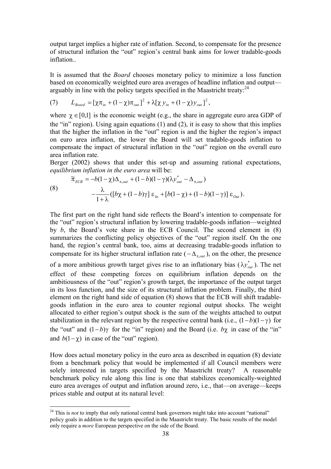output target implies a higher rate of inflation. Second, to compensate for the presence of structural inflation the "out" region's central bank aims for lower tradable-goods inflation

It is assumed that the *Board* chooses monetary policy to minimize a loss function based on economically weighted euro area averages of headline inflation and output arguably in line with the policy targets specified in the Maastricht treaty: $^{24}$ 

(7) 
$$
L_{Board} = [\chi \pi_{in} + (1 - \chi) \pi_{out}]^{2} + \lambda [\chi y_{in} + (1 - \chi) y_{out}]^{2},
$$

where  $\gamma \in [0,1]$  is the economic weight (e.g., the share in aggregate euro area GDP of the "in" region). Using again equations (1) and (2), it is easy to show that this implies that the higher the inflation in the "out" region is and the higher the region's impact on euro area inflation, the lower the Board will set tradable-goods inflation to compensate the impact of structural inflation in the "out" region on the overall euro area inflation rate.

Berger (2002) shows that under this set-up and assuming rational expectations, *equilibrium inflation in the euro area* will be:

(8) 
$$
\widetilde{\pi}_{ECB} = -b(1-\chi)\Delta_{\pi,out} + (1-b)(1-\gamma)(\lambda y_{out}^* - \Delta_{\pi,out})
$$

$$
-\frac{\lambda}{1+\lambda}([b\chi + (1-b)\gamma] \epsilon_{In} + [b(1-\chi) + (1-b)(1-\gamma)] \epsilon_{Out}).
$$

The first part on the right hand side reflects the Board's intention to compensate for the "out" region's structural inflation by lowering tradable-goods inflation—weighted by *b*, the Board's vote share in the ECB Council. The second element in (8) summarizes the conflicting policy objectives of the "out" region itself. On the one hand, the region's central bank, too, aims at decreasing tradable-goods inflation to compensate for its higher structural inflation rate ( $-\Delta_{\pi, out}$ ), on the other, the presence

of a more ambitious growth target gives rise to an inflationary bias  $(\lambda y_{out}^*)$ . The net effect of these competing forces on equilibrium inflation depends on the ambitiousness of the "out" region's growth target, the importance of the output target in its loss function, and the size of its structural inflation problem. Finally, the third element on the right hand side of equation (8) shows that the ECB will shift tradablegoods inflation in the euro area to counter regional output shocks. The weight allocated to either region's output shock is the sum of the weights attached to output stabilization in the relevant region by the respective central bank (i.e.,  $(1-b)(1-\gamma)$  for the "out" and  $(1-b)$ γ for the "in" region) and the Board (i.e. *b*χ in case of the "in" and  $b(1-\gamma)$  in case of the "out" region).

How does actual monetary policy in the euro area as described in equation (8) deviate from a benchmark policy that would be implemented if all Council members were solely interested in targets specified by the Maastricht treaty? A reasonable benchmark policy rule along this line is one that stabilizes economically-weighted euro area averages of output and inflation around zero, i.e., that—on average—keeps prices stable and output at its natural level:

<sup>&</sup>lt;sup>24</sup> This is *not* to imply that only national central bank governors might take into account "national" policy goals in addition to the targets specified in the Maastricht treaty. The basic results of the model only require a *more* European perspective on the side of the Board.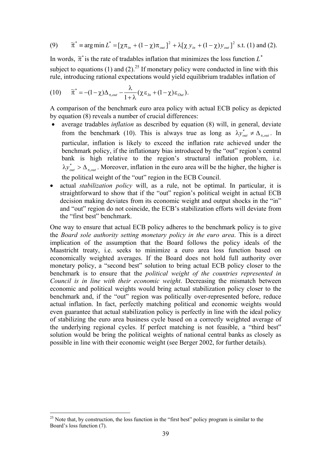(9) 
$$
\widetilde{\pi}^* = \arg\min L^* = [\chi \pi_{in} + (1 - \chi)\pi_{out}]^2 + \lambda [\chi y_{in} + (1 - \chi)y_{out}]^2 \text{ s.t. (1) and (2).}
$$

In words,  $\tilde{\pi}^*$  is the rate of tradables inflation that minimizes the loss function  $L^*$ subject to equations (1) and (2).<sup>25</sup> If monetary policy were conducted in line with this rule, introducing rational expectations would yield equilibrium tradables inflation of

$$
(10) \qquad \widetilde{\pi}^* = -(1-\chi)\Delta_{\pi,out} - \frac{\lambda}{1+\lambda}(\chi \epsilon_{In} + (1-\chi)\epsilon_{Out}).
$$

A comparison of the benchmark euro area policy with actual ECB policy as depicted by equation (8) reveals a number of crucial differences:

- average tradables *inflation* as described by equation (8) will, in general, deviate from the benchmark (10). This is always true as long as  $\lambda y_{out}^* \neq \Delta_{\pi,out}$ . In particular, inflation is likely to exceed the inflation rate achieved under the benchmark policy, if the inflationary bias introduced by the "out" region's central bank is high relative to the region's structural inflation problem, i.e.  $\lambda y_{out}^* > \Delta_{\pi,out}$ . Moreover, inflation in the euro area will be the higher, the higher is the political weight of the "out" region in the ECB Council.
- actual *stabilization policy* will, as a rule, not be optimal. In particular, it is straightforward to show that if the "out" region's political weight in actual ECB decision making deviates from its economic weight and output shocks in the "in" and "out" region do not coincide, the ECB's stabilization efforts will deviate from the "first best" benchmark.

One way to ensure that actual ECB policy adheres to the benchmark policy is to give the *Board sole authority setting monetary policy in the euro area*. This is a direct implication of the assumption that the Board follows the policy ideals of the Maastricht treaty, i.e. seeks to minimize a euro area loss function based on economically weighted averages. If the Board does not hold full authority over monetary policy, a "second best" solution to bring actual ECB policy closer to the benchmark is to ensure that the *political weight of the countries represented in Council is in line with their economic weight*. Decreasing the mismatch between economic and political weights would bring actual stabilization policy closer to the benchmark and, if the "out" region was politically over-represented before, reduce actual inflation. In fact, perfectly matching political and economic weights would even guarantee that actual stabilization policy is perfectly in line with the ideal policy of stabilizing the euro area business cycle based on a correctly weighted average of the underlying regional cycles. If perfect matching is not feasible, a "third best" solution would be bring the political weights of national central banks as closely as possible in line with their economic weight (see Berger 2002, for further details).

 $25$  Note that, by construction, the loss function in the "first best" policy program is similar to the Board's loss function (7).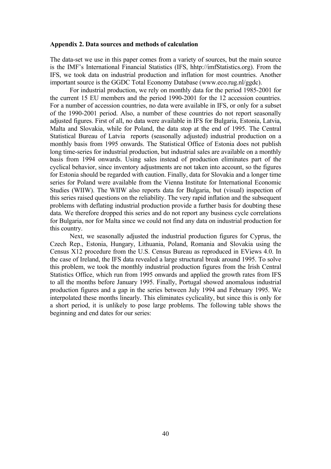#### **Appendix 2. Data sources and methods of calculation**

The data-set we use in this paper comes from a variety of sources, but the main source is the IMF's International Financial Statistics (IFS, hhtp://imfStatistics.org). From the IFS, we took data on industrial production and inflation for most countries. Another important source is the GGDC Total Economy Database (www.eco.rug.nl/ggdc).

For industrial production, we rely on monthly data for the period 1985-2001 for the current 15 EU members and the period 1990-2001 for the 12 accession countries. For a number of accession countries, no data were available in IFS, or only for a subset of the 1990-2001 period. Also, a number of these countries do not report seasonally adjusted figures. First of all, no data were available in IFS for Bulgaria, Estonia, Latvia, Malta and Slovakia, while for Poland, the data stop at the end of 1995. The Central Statistical Bureau of Latvia reports (seasonally adjusted) industrial production on a monthly basis from 1995 onwards. The Statistical Office of Estonia does not publish long time-series for industrial production, but industrial sales are available on a monthly basis from 1994 onwards. Using sales instead of production eliminates part of the cyclical behavior, since inventory adjustments are not taken into account, so the figures for Estonia should be regarded with caution. Finally, data for Slovakia and a longer time series for Poland were available from the Vienna Institute for International Economic Studies (WIIW). The WIIW also reports data for Bulgaria, but (visual) inspection of this series raised questions on the reliability. The very rapid inflation and the subsequent problems with deflating industrial production provide a further basis for doubting these data. We therefore dropped this series and do not report any business cycle correlations for Bulgaria, nor for Malta since we could not find any data on industrial production for this country.

Next, we seasonally adjusted the industrial production figures for Cyprus, the Czech Rep., Estonia, Hungary, Lithuania, Poland, Romania and Slovakia using the Census X12 procedure from the U.S. Census Bureau as reproduced in EViews 4.0. In the case of Ireland, the IFS data revealed a large structural break around 1995. To solve this problem, we took the monthly industrial production figures from the Irish Central Statistics Office, which run from 1995 onwards and applied the growth rates from IFS to all the months before January 1995. Finally, Portugal showed anomalous industrial production figures and a gap in the series between July 1994 and February 1995. We interpolated these months linearly. This eliminates cyclicality, but since this is only for a short period, it is unlikely to pose large problems. The following table shows the beginning and end dates for our series: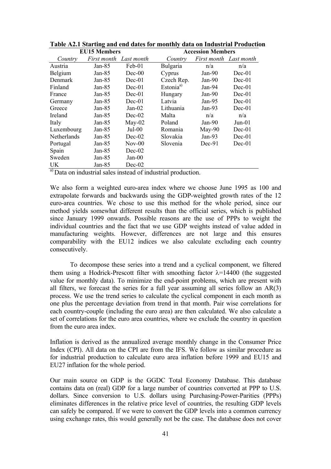| <b>EU15 Members</b> |             |            | <b>Accession Members</b> |                        |          |  |
|---------------------|-------------|------------|--------------------------|------------------------|----------|--|
| Country             | First month | Last month | Country                  | First month Last month |          |  |
| Austria             | Jan-85      | Feb-01     | Bulgaria                 | n/a                    | n/a      |  |
| Belgium             | Jan-85      | $Dec-00$   | Cyprus                   | Jan- $90$              | $Dec-01$ |  |
| Denmark             | Jan- $85$   | $Dec-01$   | Czech Rep.               | Jan- $90$              | $Dec-01$ |  |
| Finland             | Jan- $85$   | $Dec-01$   | Estonia <sup>a</sup>     | Jan-94                 | $Dec-01$ |  |
| France              | Jan- $85$   | $Dec-01$   | Hungary                  | Jan- $90$              | $Dec-01$ |  |
| Germany             | Jan- $85$   | $Dec-01$   | Latvia                   | Jan-95                 | $Dec-01$ |  |
| Greece              | Jan-85      | $Jan-02$   | Lithuania                | Jan- $93$              | $Dec-01$ |  |
| Ireland             | Jan-85      | $Dec-02$   | Malta                    | n/a                    | n/a      |  |
| Italy               | Jan- $85$   | $May-02$   | Poland                   | Jan- $90$              | $Jun-01$ |  |
| Luxembourg          | Jan- $85$   | $Jul-00$   | Romania                  | $May-90$               | $Dec-01$ |  |
| Netherlands         | Jan- $85$   | $Dec-02$   | Slovakia                 | Jan- $93$              | $Dec-01$ |  |
| Portugal            | Jan- $85$   | $Nov-00$   | Slovenia                 | $Dec-91$               | $Dec-01$ |  |
| Spain               | Jan- $85$   | $Dec-02$   |                          |                        |          |  |
| Sweden              | Jan- $85$   | $Jan-00$   |                          |                        |          |  |
| UK                  | Jan-85      | $Dec-02$   |                          |                        |          |  |

**Table A2.1 Starting and end dates for monthly data on Industrial Production** 

a) Data on industrial sales instead of industrial production.

We also form a weighted euro-area index where we choose June 1995 as 100 and extrapolate forwards and backwards using the GDP-weighted growth rates of the 12 euro-area countries. We chose to use this method for the whole period, since our method yields somewhat different results than the official series, which is published since January 1999 onwards. Possible reasons are the use of PPPs to weight the individual countries and the fact that we use GDP weights instead of value added in manufacturing weights. However, differences are not large and this ensures comparability with the EU12 indices we also calculate excluding each country consecutively.

To decompose these series into a trend and a cyclical component, we filtered them using a Hodrick-Prescott filter with smoothing factor  $\lambda$ =14400 (the suggested value for monthly data). To minimize the end-point problems, which are present with all filters, we forecast the series for a full year assuming all series follow an AR(3) process. We use the trend series to calculate the cyclical component in each month as one plus the percentage deviation from trend in that month. Pair wise correlations for each country-couple (including the euro area) are then calculated. We also calculate a set of correlations for the euro area countries, where we exclude the country in question from the euro area index.

Inflation is derived as the annualized average monthly change in the Consumer Price Index (CPI). All data on the CPI are from the IFS. We follow as similar procedure as for industrial production to calculate euro area inflation before 1999 and EU15 and EU27 inflation for the whole period.

Our main source on GDP is the GGDC Total Economy Database. This database contains data on (real) GDP for a large number of countries converted at PPP to U.S. dollars. Since conversion to U.S. dollars using Purchasing-Power-Parities (PPPs) eliminates differences in the relative price level of countries, the resulting GDP levels can safely be compared. If we were to convert the GDP levels into a common currency using exchange rates, this would generally not be the case. The database does not cover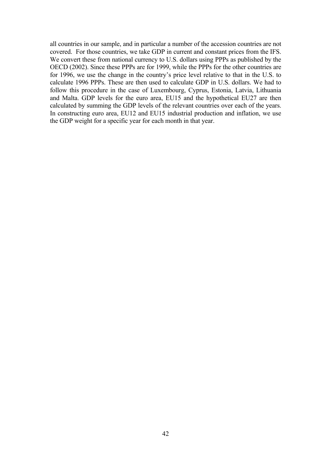all countries in our sample, and in particular a number of the accession countries are not covered. For those countries, we take GDP in current and constant prices from the IFS. We convert these from national currency to U.S. dollars using PPPs as published by the OECD (2002). Since these PPPs are for 1999, while the PPPs for the other countries are for 1996, we use the change in the country's price level relative to that in the U.S. to calculate 1996 PPPs. These are then used to calculate GDP in U.S. dollars. We had to follow this procedure in the case of Luxembourg, Cyprus, Estonia, Latvia, Lithuania and Malta. GDP levels for the euro area, EU15 and the hypothetical EU27 are then calculated by summing the GDP levels of the relevant countries over each of the years. In constructing euro area, EU12 and EU15 industrial production and inflation, we use the GDP weight for a specific year for each month in that year.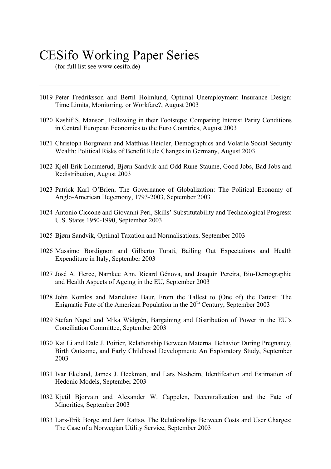# CESifo Working Paper Series

(for full list see www.cesifo.de)

1019 Peter Fredriksson and Bertil Holmlund, Optimal Unemployment Insurance Design: Time Limits, Monitoring, or Workfare?, August 2003

 $\mathcal{L}_\text{max} = \mathcal{L}_\text{max} = \mathcal{L}_\text{max} = \mathcal{L}_\text{max} = \mathcal{L}_\text{max} = \mathcal{L}_\text{max} = \mathcal{L}_\text{max} = \mathcal{L}_\text{max} = \mathcal{L}_\text{max} = \mathcal{L}_\text{max} = \mathcal{L}_\text{max} = \mathcal{L}_\text{max} = \mathcal{L}_\text{max} = \mathcal{L}_\text{max} = \mathcal{L}_\text{max} = \mathcal{L}_\text{max} = \mathcal{L}_\text{max} = \mathcal{L}_\text{max} = \mathcal{$ 

- 1020 Kashif S. Mansori, Following in their Footsteps: Comparing Interest Parity Conditions in Central European Economies to the Euro Countries, August 2003
- 1021 Christoph Borgmann and Matthias Heidler, Demographics and Volatile Social Security Wealth: Political Risks of Benefit Rule Changes in Germany, August 2003
- 1022 Kjell Erik Lommerud, Bjørn Sandvik and Odd Rune Staume, Good Jobs, Bad Jobs and Redistribution, August 2003
- 1023 Patrick Karl O'Brien, The Governance of Globalization: The Political Economy of Anglo-American Hegemony, 1793-2003, September 2003
- 1024 Antonio Ciccone and Giovanni Peri, Skills' Substitutability and Technological Progress: U.S. States 1950-1990, September 2003
- 1025 Bjørn Sandvik, Optimal Taxation and Normalisations, September 2003
- 1026 Massimo Bordignon and Gilberto Turati, Bailing Out Expectations and Health Expenditure in Italy, September 2003
- 1027 José A. Herce, Namkee Ahn, Ricard Génova, and Joaquín Pereira, Bio-Demographic and Health Aspects of Ageing in the EU, September 2003
- 1028 John Komlos and Marieluise Baur, From the Tallest to (One of) the Fattest: The Enigmatic Fate of the American Population in the  $20<sup>th</sup>$  Century, September 2003
- 1029 Stefan Napel and Mika Widgrén, Bargaining and Distribution of Power in the EU's Conciliation Committee, September 2003
- 1030 Kai Li and Dale J. Poirier, Relationship Between Maternal Behavior During Pregnancy, Birth Outcome, and Early Childhood Development: An Exploratory Study, September 2003
- 1031 Ivar Ekeland, James J. Heckman, and Lars Nesheim, Identifcation and Estimation of Hedonic Models, September 2003
- 1032 Kjetil Bjorvatn and Alexander W. Cappelen, Decentralization and the Fate of Minorities, September 2003
- 1033 Lars-Erik Borge and Jørn Rattsø, The Relationships Between Costs and User Charges: The Case of a Norwegian Utility Service, September 2003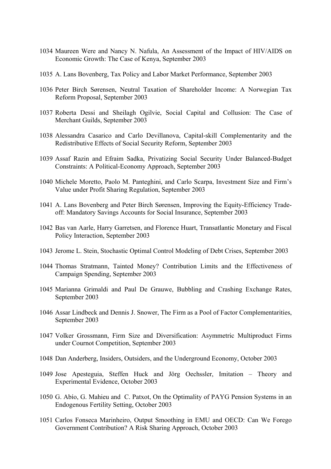- 1034 Maureen Were and Nancy N. Nafula, An Assessment of the Impact of HIV/AIDS on Economic Growth: The Case of Kenya, September 2003
- 1035 A. Lans Bovenberg, Tax Policy and Labor Market Performance, September 2003
- 1036 Peter Birch Sørensen, Neutral Taxation of Shareholder Income: A Norwegian Tax Reform Proposal, September 2003
- 1037 Roberta Dessi and Sheilagh Ogilvie, Social Capital and Collusion: The Case of Merchant Guilds, September 2003
- 1038 Alessandra Casarico and Carlo Devillanova, Capital-skill Complementarity and the Redistributive Effects of Social Security Reform, September 2003
- 1039 Assaf Razin and Efraim Sadka, Privatizing Social Security Under Balanced-Budget Constraints: A Political-Economy Approach, September 2003
- 1040 Michele Moretto, Paolo M. Panteghini, and Carlo Scarpa, Investment Size and Firm's Value under Profit Sharing Regulation, September 2003
- 1041 A. Lans Bovenberg and Peter Birch Sørensen, Improving the Equity-Efficiency Tradeoff: Mandatory Savings Accounts for Social Insurance, September 2003
- 1042 Bas van Aarle, Harry Garretsen, and Florence Huart, Transatlantic Monetary and Fiscal Policy Interaction, September 2003
- 1043 Jerome L. Stein, Stochastic Optimal Control Modeling of Debt Crises, September 2003
- 1044 Thomas Stratmann, Tainted Money? Contribution Limits and the Effectiveness of Campaign Spending, September 2003
- 1045 Marianna Grimaldi and Paul De Grauwe, Bubbling and Crashing Exchange Rates, September 2003
- 1046 Assar Lindbeck and Dennis J. Snower, The Firm as a Pool of Factor Complementarities, September 2003
- 1047 Volker Grossmann, Firm Size and Diversification: Asymmetric Multiproduct Firms under Cournot Competition, September 2003
- 1048 Dan Anderberg, Insiders, Outsiders, and the Underground Economy, October 2003
- 1049 Jose Apesteguia, Steffen Huck and Jörg Oechssler, Imitation Theory and Experimental Evidence, October 2003
- 1050 G. Abío, G. Mahieu and C. Patxot, On the Optimality of PAYG Pension Systems in an Endogenous Fertility Setting, October 2003
- 1051 Carlos Fonseca Marinheiro, Output Smoothing in EMU and OECD: Can We Forego Government Contribution? A Risk Sharing Approach, October 2003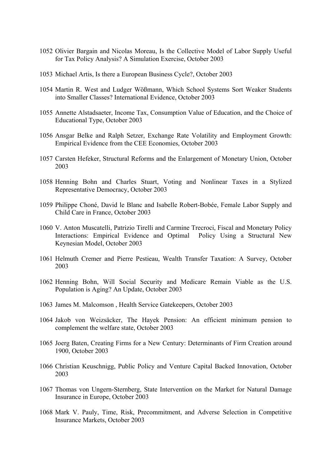- Olivier Bargain and Nicolas Moreau, Is the Collective Model of Labor Supply Useful for Tax Policy Analysis? A Simulation Exercise, October 2003
- Michael Artis, Is there a European Business Cycle?, October 2003
- Martin R. West and Ludger Wößmann, Which School Systems Sort Weaker Students into Smaller Classes? International Evidence, October 2003
- Annette Alstadsaeter, Income Tax, Consumption Value of Education, and the Choice of Educational Type, October 2003
- Ansgar Belke and Ralph Setzer, Exchange Rate Volatility and Employment Growth: Empirical Evidence from the CEE Economies, October 2003
- Carsten Hefeker, Structural Reforms and the Enlargement of Monetary Union, October
- Henning Bohn and Charles Stuart, Voting and Nonlinear Taxes in a Stylized Representative Democracy, October 2003
- Philippe Choné, David le Blanc and Isabelle Robert-Bobée, Female Labor Supply and Child Care in France, October 2003
- V. Anton Muscatelli, Patrizio Tirelli and Carmine Trecroci, Fiscal and Monetary Policy Interactions: Empirical Evidence and Optimal Policy Using a Structural New Keynesian Model, October 2003
- Helmuth Cremer and Pierre Pestieau, Wealth Transfer Taxation: A Survey, October
- Henning Bohn, Will Social Security and Medicare Remain Viable as the U.S. Population is Aging? An Update, October 2003
- James M. Malcomson , Health Service Gatekeepers, October 2003
- Jakob von Weizsäcker, The Hayek Pension: An efficient minimum pension to complement the welfare state, October 2003
- Joerg Baten, Creating Firms for a New Century: Determinants of Firm Creation around 1900, October 2003
- Christian Keuschnigg, Public Policy and Venture Capital Backed Innovation, October
- Thomas von Ungern-Sternberg, State Intervention on the Market for Natural Damage Insurance in Europe, October 2003
- Mark V. Pauly, Time, Risk, Precommitment, and Adverse Selection in Competitive Insurance Markets, October 2003